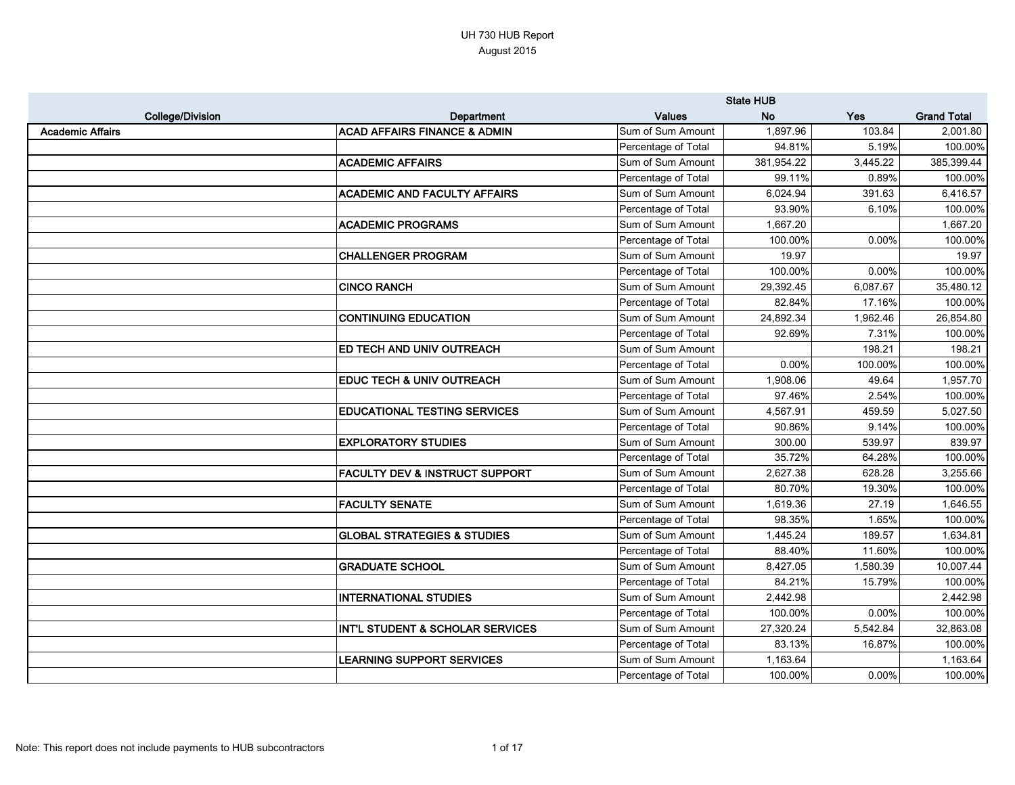|                         |                                           |                     | <b>State HUB</b> |          |                    |
|-------------------------|-------------------------------------------|---------------------|------------------|----------|--------------------|
| <b>College/Division</b> | Department                                | <b>Values</b>       | <b>No</b>        | Yes      | <b>Grand Total</b> |
| <b>Academic Affairs</b> | <b>ACAD AFFAIRS FINANCE &amp; ADMIN</b>   | Sum of Sum Amount   | 1,897.96         | 103.84   | 2,001.80           |
|                         |                                           | Percentage of Total | 94.81%           | 5.19%    | 100.00%            |
|                         | <b>ACADEMIC AFFAIRS</b>                   | Sum of Sum Amount   | 381,954.22       | 3,445.22 | 385,399.44         |
|                         |                                           | Percentage of Total | 99.11%           | 0.89%    | 100.00%            |
|                         | <b>ACADEMIC AND FACULTY AFFAIRS</b>       | Sum of Sum Amount   | 6,024.94         | 391.63   | 6,416.57           |
|                         |                                           | Percentage of Total | 93.90%           | 6.10%    | 100.00%            |
|                         | <b>ACADEMIC PROGRAMS</b>                  | Sum of Sum Amount   | 1,667.20         |          | 1,667.20           |
|                         |                                           | Percentage of Total | 100.00%          | 0.00%    | 100.00%            |
|                         | <b>CHALLENGER PROGRAM</b>                 | Sum of Sum Amount   | 19.97            |          | 19.97              |
|                         |                                           | Percentage of Total | 100.00%          | 0.00%    | 100.00%            |
|                         | <b>CINCO RANCH</b>                        | Sum of Sum Amount   | 29,392.45        | 6,087.67 | 35,480.12          |
|                         |                                           | Percentage of Total | 82.84%           | 17.16%   | 100.00%            |
|                         | <b>CONTINUING EDUCATION</b>               | Sum of Sum Amount   | 24,892.34        | 1,962.46 | 26,854.80          |
|                         |                                           | Percentage of Total | 92.69%           | 7.31%    | 100.00%            |
|                         | <b>ED TECH AND UNIV OUTREACH</b>          | Sum of Sum Amount   |                  | 198.21   | 198.21             |
|                         |                                           | Percentage of Total | 0.00%            | 100.00%  | 100.00%            |
|                         | <b>EDUC TECH &amp; UNIV OUTREACH</b>      | Sum of Sum Amount   | 1,908.06         | 49.64    | 1,957.70           |
|                         |                                           | Percentage of Total | 97.46%           | 2.54%    | 100.00%            |
|                         | <b>EDUCATIONAL TESTING SERVICES</b>       | Sum of Sum Amount   | 4,567.91         | 459.59   | 5,027.50           |
|                         |                                           | Percentage of Total | 90.86%           | 9.14%    | 100.00%            |
|                         | <b>EXPLORATORY STUDIES</b>                | Sum of Sum Amount   | 300.00           | 539.97   | 839.97             |
|                         |                                           | Percentage of Total | 35.72%           | 64.28%   | 100.00%            |
|                         | <b>FACULTY DEV &amp; INSTRUCT SUPPORT</b> | Sum of Sum Amount   | 2,627.38         | 628.28   | 3,255.66           |
|                         |                                           | Percentage of Total | 80.70%           | 19.30%   | 100.00%            |
|                         | <b>FACULTY SENATE</b>                     | Sum of Sum Amount   | 1,619.36         | 27.19    | 1,646.55           |
|                         |                                           | Percentage of Total | 98.35%           | 1.65%    | 100.00%            |
|                         | <b>GLOBAL STRATEGIES &amp; STUDIES</b>    | Sum of Sum Amount   | 1,445.24         | 189.57   | 1,634.81           |
|                         |                                           | Percentage of Total | 88.40%           | 11.60%   | 100.00%            |
|                         | <b>GRADUATE SCHOOL</b>                    | Sum of Sum Amount   | 8,427.05         | 1,580.39 | 10,007.44          |
|                         |                                           | Percentage of Total | 84.21%           | 15.79%   | 100.00%            |
|                         | <b>INTERNATIONAL STUDIES</b>              | Sum of Sum Amount   | 2,442.98         |          | 2,442.98           |
|                         |                                           | Percentage of Total | 100.00%          | 0.00%    | 100.00%            |
|                         | INT'L STUDENT & SCHOLAR SERVICES          | Sum of Sum Amount   | 27,320.24        | 5,542.84 | 32,863.08          |
|                         |                                           | Percentage of Total | 83.13%           | 16.87%   | 100.00%            |
|                         | <b>LEARNING SUPPORT SERVICES</b>          | Sum of Sum Amount   | 1,163.64         |          | 1,163.64           |
|                         |                                           | Percentage of Total | 100.00%          | 0.00%    | 100.00%            |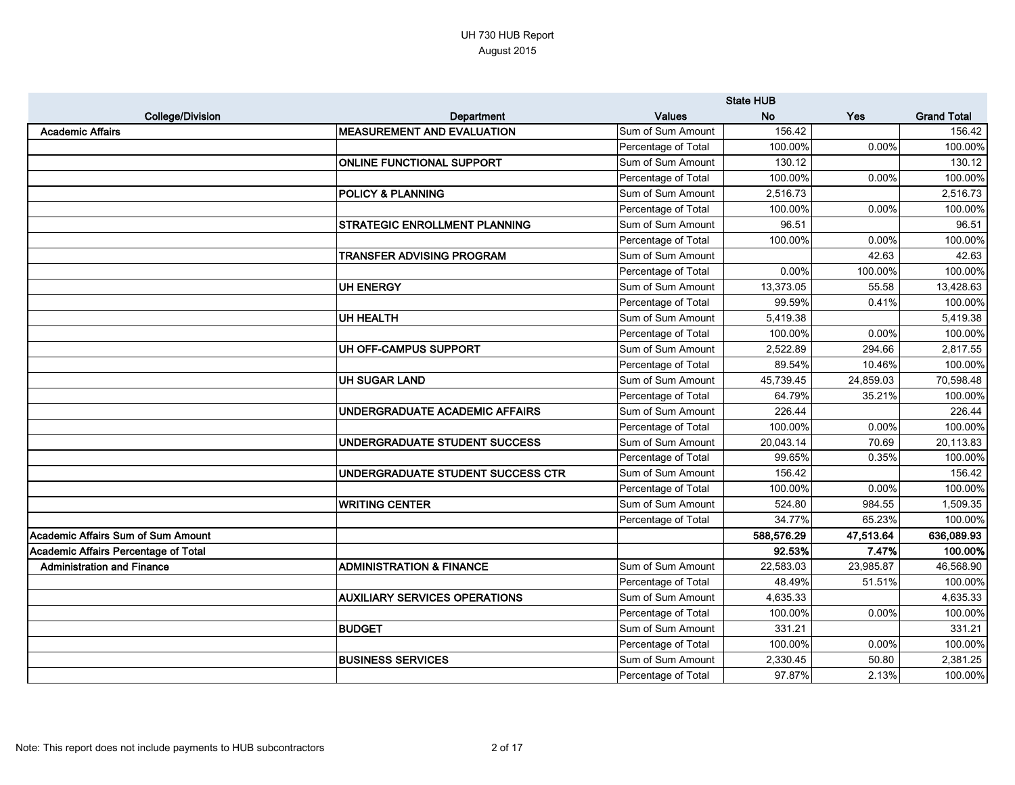|                                      |                                      |                     | <b>State HUB</b> |           |                    |
|--------------------------------------|--------------------------------------|---------------------|------------------|-----------|--------------------|
| <b>College/Division</b>              | Department                           | <b>Values</b>       | <b>No</b>        | Yes       | <b>Grand Total</b> |
| <b>Academic Affairs</b>              | <b>MEASUREMENT AND EVALUATION</b>    | Sum of Sum Amount   | 156.42           |           | 156.42             |
|                                      |                                      | Percentage of Total | 100.00%          | 0.00%     | 100.00%            |
|                                      | <b>ONLINE FUNCTIONAL SUPPORT</b>     | Sum of Sum Amount   | 130.12           |           | 130.12             |
|                                      |                                      | Percentage of Total | 100.00%          | 0.00%     | 100.00%            |
|                                      | <b>POLICY &amp; PLANNING</b>         | Sum of Sum Amount   | 2,516.73         |           | 2,516.73           |
|                                      |                                      | Percentage of Total | 100.00%          | 0.00%     | 100.00%            |
|                                      | <b>STRATEGIC ENROLLMENT PLANNING</b> | Sum of Sum Amount   | 96.51            |           | 96.51              |
|                                      |                                      | Percentage of Total | 100.00%          | 0.00%     | 100.00%            |
|                                      | TRANSFER ADVISING PROGRAM            | Sum of Sum Amount   |                  | 42.63     | 42.63              |
|                                      |                                      | Percentage of Total | 0.00%            | 100.00%   | 100.00%            |
|                                      | <b>UH ENERGY</b>                     | Sum of Sum Amount   | 13,373.05        | 55.58     | 13,428.63          |
|                                      |                                      | Percentage of Total | 99.59%           | 0.41%     | 100.00%            |
|                                      | UH HEALTH                            | Sum of Sum Amount   | 5,419.38         |           | 5,419.38           |
|                                      |                                      | Percentage of Total | 100.00%          | 0.00%     | 100.00%            |
|                                      | UH OFF-CAMPUS SUPPORT                | Sum of Sum Amount   | 2,522.89         | 294.66    | 2,817.55           |
|                                      |                                      | Percentage of Total | 89.54%           | 10.46%    | 100.00%            |
|                                      | <b>UH SUGAR LAND</b>                 | Sum of Sum Amount   | 45,739.45        | 24,859.03 | 70,598.48          |
|                                      |                                      | Percentage of Total | 64.79%           | 35.21%    | 100.00%            |
|                                      | UNDERGRADUATE ACADEMIC AFFAIRS       | Sum of Sum Amount   | 226.44           |           | 226.44             |
|                                      |                                      | Percentage of Total | 100.00%          | 0.00%     | 100.00%            |
|                                      | UNDERGRADUATE STUDENT SUCCESS        | Sum of Sum Amount   | 20,043.14        | 70.69     | 20,113.83          |
|                                      |                                      | Percentage of Total | 99.65%           | 0.35%     | 100.00%            |
|                                      | UNDERGRADUATE STUDENT SUCCESS CTR    | Sum of Sum Amount   | 156.42           |           | 156.42             |
|                                      |                                      | Percentage of Total | 100.00%          | 0.00%     | 100.00%            |
|                                      | <b>WRITING CENTER</b>                | Sum of Sum Amount   | 524.80           | 984.55    | 1,509.35           |
|                                      |                                      | Percentage of Total | 34.77%           | 65.23%    | 100.00%            |
| Academic Affairs Sum of Sum Amount   |                                      |                     | 588,576.29       | 47,513.64 | 636,089.93         |
| Academic Affairs Percentage of Total |                                      |                     | 92.53%           | 7.47%     | 100.00%            |
| <b>Administration and Finance</b>    | <b>ADMINISTRATION &amp; FINANCE</b>  | Sum of Sum Amount   | 22,583.03        | 23,985.87 | 46,568.90          |
|                                      |                                      | Percentage of Total | 48.49%           | 51.51%    | 100.00%            |
|                                      | <b>AUXILIARY SERVICES OPERATIONS</b> | Sum of Sum Amount   | 4,635.33         |           | 4,635.33           |
|                                      |                                      | Percentage of Total | 100.00%          | 0.00%     | 100.00%            |
|                                      | <b>BUDGET</b>                        | Sum of Sum Amount   | 331.21           |           | 331.21             |
|                                      |                                      | Percentage of Total | 100.00%          | 0.00%     | 100.00%            |
|                                      | <b>BUSINESS SERVICES</b>             | Sum of Sum Amount   | 2,330.45         | 50.80     | 2,381.25           |
|                                      |                                      | Percentage of Total | 97.87%           | 2.13%     | 100.00%            |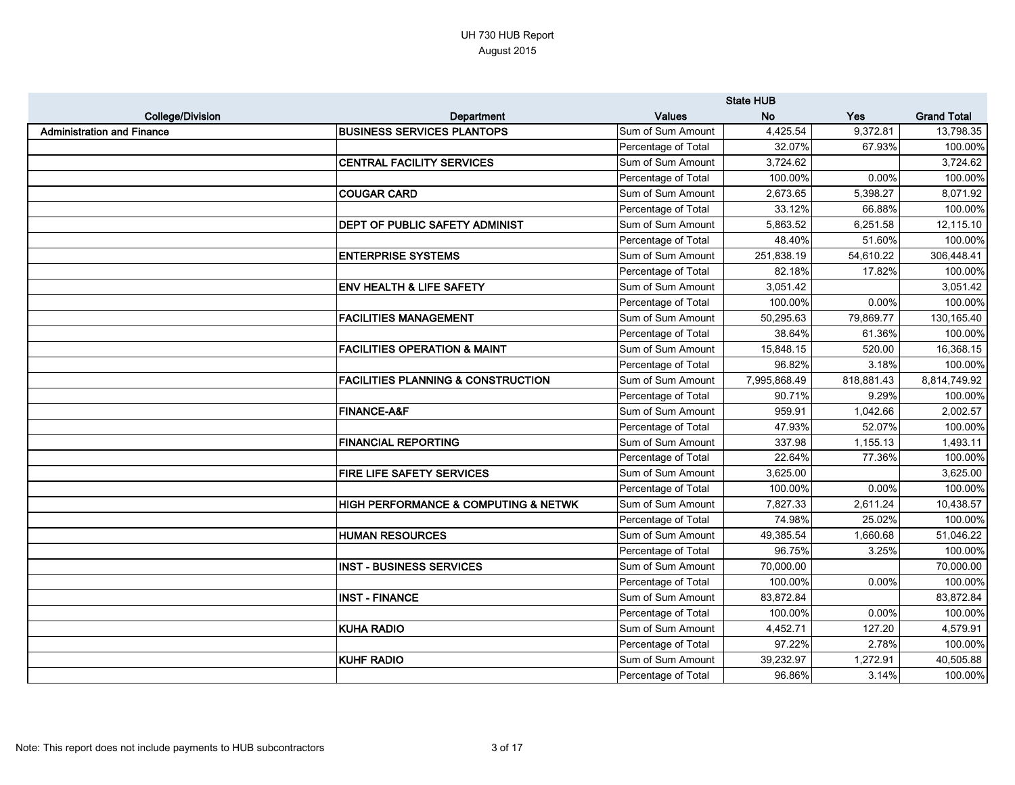|                                   |                                               |                     | <b>State HUB</b> |            |                    |
|-----------------------------------|-----------------------------------------------|---------------------|------------------|------------|--------------------|
| <b>College/Division</b>           | Department                                    | <b>Values</b>       | <b>No</b>        | Yes        | <b>Grand Total</b> |
| <b>Administration and Finance</b> | <b>BUSINESS SERVICES PLANTOPS</b>             | Sum of Sum Amount   | 4,425.54         | 9,372.81   | 13,798.35          |
|                                   |                                               | Percentage of Total | 32.07%           | 67.93%     | 100.00%            |
|                                   | <b>CENTRAL FACILITY SERVICES</b>              | Sum of Sum Amount   | 3,724.62         |            | 3,724.62           |
|                                   |                                               | Percentage of Total | 100.00%          | 0.00%      | 100.00%            |
|                                   | <b>COUGAR CARD</b>                            | Sum of Sum Amount   | 2,673.65         | 5,398.27   | 8,071.92           |
|                                   |                                               | Percentage of Total | 33.12%           | 66.88%     | 100.00%            |
|                                   | <b>DEPT OF PUBLIC SAFETY ADMINIST</b>         | Sum of Sum Amount   | 5,863.52         | 6,251.58   | 12,115.10          |
|                                   |                                               | Percentage of Total | 48.40%           | 51.60%     | 100.00%            |
|                                   | <b>ENTERPRISE SYSTEMS</b>                     | Sum of Sum Amount   | 251,838.19       | 54,610.22  | 306,448.41         |
|                                   |                                               | Percentage of Total | 82.18%           | 17.82%     | 100.00%            |
|                                   | <b>ENV HEALTH &amp; LIFE SAFETY</b>           | Sum of Sum Amount   | 3,051.42         |            | 3,051.42           |
|                                   |                                               | Percentage of Total | 100.00%          | 0.00%      | 100.00%            |
|                                   | <b>FACILITIES MANAGEMENT</b>                  | Sum of Sum Amount   | 50,295.63        | 79,869.77  | 130,165.40         |
|                                   |                                               | Percentage of Total | 38.64%           | 61.36%     | 100.00%            |
|                                   | <b>FACILITIES OPERATION &amp; MAINT</b>       | Sum of Sum Amount   | 15,848.15        | 520.00     | 16,368.15          |
|                                   |                                               | Percentage of Total | 96.82%           | 3.18%      | 100.00%            |
|                                   | <b>FACILITIES PLANNING &amp; CONSTRUCTION</b> | Sum of Sum Amount   | 7,995,868.49     | 818,881.43 | 8,814,749.92       |
|                                   |                                               | Percentage of Total | 90.71%           | 9.29%      | 100.00%            |
|                                   | <b>FINANCE-A&amp;F</b>                        | Sum of Sum Amount   | 959.91           | 1,042.66   | 2,002.57           |
|                                   |                                               | Percentage of Total | 47.93%           | 52.07%     | 100.00%            |
|                                   | <b>FINANCIAL REPORTING</b>                    | Sum of Sum Amount   | 337.98           | 1,155.13   | 1,493.11           |
|                                   |                                               | Percentage of Total | 22.64%           | 77.36%     | 100.00%            |
|                                   | FIRE LIFE SAFETY SERVICES                     | Sum of Sum Amount   | 3,625.00         |            | 3,625.00           |
|                                   |                                               | Percentage of Total | 100.00%          | 0.00%      | 100.00%            |
|                                   | HIGH PERFORMANCE & COMPUTING & NETWK          | Sum of Sum Amount   | 7,827.33         | 2,611.24   | 10,438.57          |
|                                   |                                               | Percentage of Total | 74.98%           | 25.02%     | 100.00%            |
|                                   | <b>HUMAN RESOURCES</b>                        | Sum of Sum Amount   | 49,385.54        | 1,660.68   | 51,046.22          |
|                                   |                                               | Percentage of Total | 96.75%           | 3.25%      | 100.00%            |
|                                   | <b>INST - BUSINESS SERVICES</b>               | Sum of Sum Amount   | 70,000.00        |            | 70,000.00          |
|                                   |                                               | Percentage of Total | 100.00%          | 0.00%      | 100.00%            |
|                                   | <b>INST - FINANCE</b>                         | Sum of Sum Amount   | 83,872.84        |            | 83,872.84          |
|                                   |                                               | Percentage of Total | 100.00%          | 0.00%      | 100.00%            |
|                                   | <b>KUHA RADIO</b>                             | Sum of Sum Amount   | 4,452.71         | 127.20     | 4,579.91           |
|                                   |                                               | Percentage of Total | 97.22%           | 2.78%      | 100.00%            |
|                                   | <b>KUHF RADIO</b>                             | Sum of Sum Amount   | 39,232.97        | 1,272.91   | 40,505.88          |
|                                   |                                               | Percentage of Total | 96.86%           | 3.14%      | 100.00%            |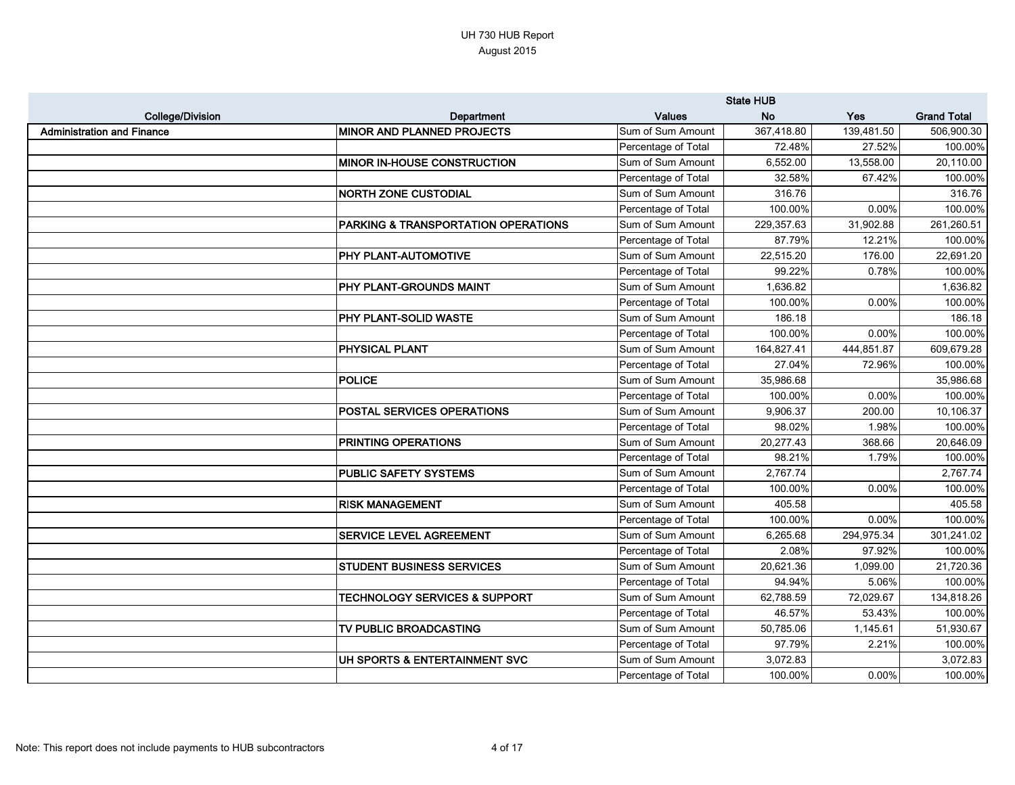|                                   |                                          |                     | <b>State HUB</b> |            |                    |
|-----------------------------------|------------------------------------------|---------------------|------------------|------------|--------------------|
| <b>College/Division</b>           | Department                               | <b>Values</b>       | <b>No</b>        | <b>Yes</b> | <b>Grand Total</b> |
| <b>Administration and Finance</b> | <b>MINOR AND PLANNED PROJECTS</b>        | Sum of Sum Amount   | 367,418.80       | 139,481.50 | 506,900.30         |
|                                   |                                          | Percentage of Total | 72.48%           | 27.52%     | 100.00%            |
|                                   | <b>MINOR IN-HOUSE CONSTRUCTION</b>       | Sum of Sum Amount   | 6,552.00         | 13,558.00  | 20,110.00          |
|                                   |                                          | Percentage of Total | 32.58%           | 67.42%     | 100.00%            |
|                                   | <b>NORTH ZONE CUSTODIAL</b>              | Sum of Sum Amount   | 316.76           |            | 316.76             |
|                                   |                                          | Percentage of Total | 100.00%          | 0.00%      | 100.00%            |
|                                   | PARKING & TRANSPORTATION OPERATIONS      | Sum of Sum Amount   | 229,357.63       | 31,902.88  | 261,260.51         |
|                                   |                                          | Percentage of Total | 87.79%           | 12.21%     | 100.00%            |
|                                   | <b>PHY PLANT-AUTOMOTIVE</b>              | Sum of Sum Amount   | 22,515.20        | 176.00     | 22,691.20          |
|                                   |                                          | Percentage of Total | 99.22%           | 0.78%      | 100.00%            |
|                                   | <b>PHY PLANT-GROUNDS MAINT</b>           | Sum of Sum Amount   | 1,636.82         |            | 1,636.82           |
|                                   |                                          | Percentage of Total | 100.00%          | 0.00%      | 100.00%            |
|                                   | <b>PHY PLANT-SOLID WASTE</b>             | Sum of Sum Amount   | 186.18           |            | 186.18             |
|                                   |                                          | Percentage of Total | 100.00%          | 0.00%      | 100.00%            |
|                                   | <b>PHYSICAL PLANT</b>                    | Sum of Sum Amount   | 164,827.41       | 444,851.87 | 609,679.28         |
|                                   |                                          | Percentage of Total | 27.04%           | 72.96%     | 100.00%            |
|                                   | <b>POLICE</b>                            | Sum of Sum Amount   | 35,986.68        |            | 35,986.68          |
|                                   |                                          | Percentage of Total | 100.00%          | 0.00%      | 100.00%            |
|                                   | <b>POSTAL SERVICES OPERATIONS</b>        | Sum of Sum Amount   | 9,906.37         | 200.00     | 10,106.37          |
|                                   |                                          | Percentage of Total | 98.02%           | 1.98%      | 100.00%            |
|                                   | <b>PRINTING OPERATIONS</b>               | Sum of Sum Amount   | 20,277.43        | 368.66     | 20,646.09          |
|                                   |                                          | Percentage of Total | 98.21%           | 1.79%      | 100.00%            |
|                                   | <b>PUBLIC SAFETY SYSTEMS</b>             | Sum of Sum Amount   | 2,767.74         |            | 2,767.74           |
|                                   |                                          | Percentage of Total | 100.00%          | 0.00%      | 100.00%            |
|                                   | <b>RISK MANAGEMENT</b>                   | Sum of Sum Amount   | 405.58           |            | 405.58             |
|                                   |                                          | Percentage of Total | 100.00%          | 0.00%      | 100.00%            |
|                                   | <b>SERVICE LEVEL AGREEMENT</b>           | Sum of Sum Amount   | 6,265.68         | 294,975.34 | 301,241.02         |
|                                   |                                          | Percentage of Total | 2.08%            | 97.92%     | 100.00%            |
|                                   | <b>STUDENT BUSINESS SERVICES</b>         | Sum of Sum Amount   | 20,621.36        | 1,099.00   | 21,720.36          |
|                                   |                                          | Percentage of Total | 94.94%           | 5.06%      | 100.00%            |
|                                   | <b>TECHNOLOGY SERVICES &amp; SUPPORT</b> | Sum of Sum Amount   | 62,788.59        | 72,029.67  | 134,818.26         |
|                                   |                                          | Percentage of Total | 46.57%           | 53.43%     | 100.00%            |
|                                   | TV PUBLIC BROADCASTING                   | Sum of Sum Amount   | 50,785.06        | 1,145.61   | 51,930.67          |
|                                   |                                          | Percentage of Total | 97.79%           | 2.21%      | 100.00%            |
|                                   | UH SPORTS & ENTERTAINMENT SVC            | Sum of Sum Amount   | 3,072.83         |            | 3,072.83           |
|                                   |                                          | Percentage of Total | 100.00%          | 0.00%      | 100.00%            |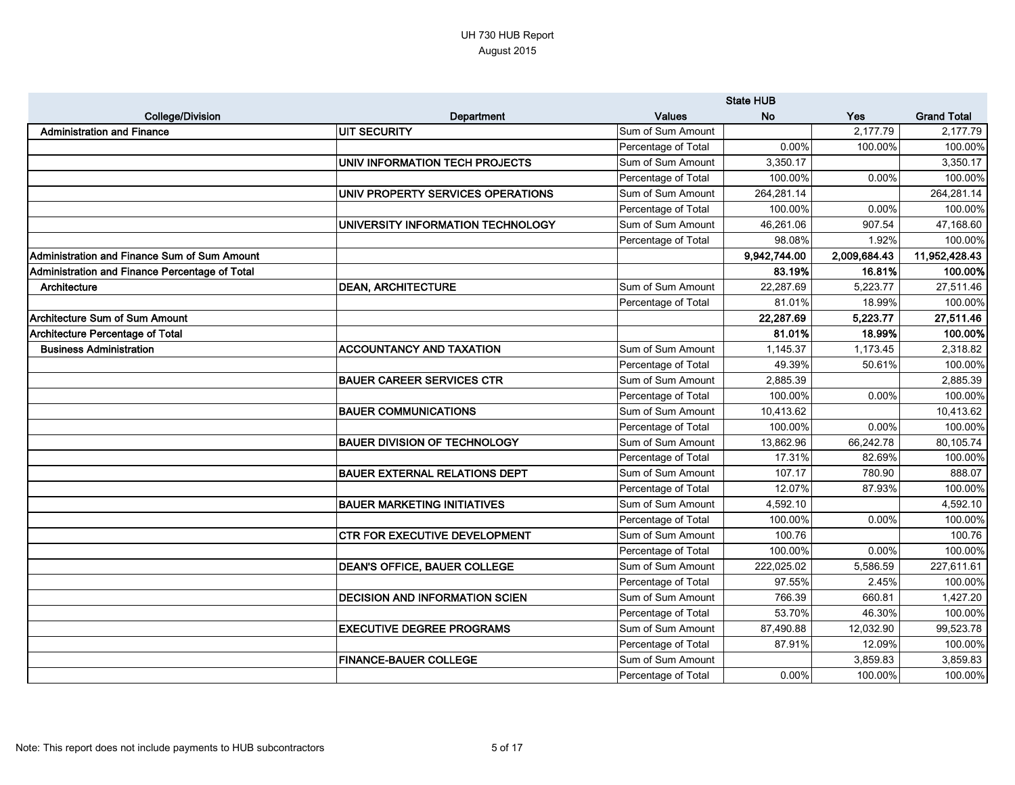|                                                |                                       |                     | <b>State HUB</b> |              |                    |
|------------------------------------------------|---------------------------------------|---------------------|------------------|--------------|--------------------|
| <b>College/Division</b>                        | Department                            | <b>Values</b>       | <b>No</b>        | <b>Yes</b>   | <b>Grand Total</b> |
| <b>Administration and Finance</b>              | <b>UIT SECURITY</b>                   | Sum of Sum Amount   |                  | 2,177.79     | 2,177.79           |
|                                                |                                       | Percentage of Total | 0.00%            | 100.00%      | 100.00%            |
|                                                | UNIV INFORMATION TECH PROJECTS        | Sum of Sum Amount   | 3,350.17         |              | 3,350.17           |
|                                                |                                       | Percentage of Total | 100.00%          | 0.00%        | 100.00%            |
|                                                | UNIV PROPERTY SERVICES OPERATIONS     | Sum of Sum Amount   | 264,281.14       |              | 264,281.14         |
|                                                |                                       | Percentage of Total | 100.00%          | 0.00%        | 100.00%            |
|                                                | UNIVERSITY INFORMATION TECHNOLOGY     | Sum of Sum Amount   | 46,261.06        | 907.54       | 47,168.60          |
|                                                |                                       | Percentage of Total | 98.08%           | 1.92%        | 100.00%            |
| Administration and Finance Sum of Sum Amount   |                                       |                     | 9,942,744.00     | 2,009,684.43 | 11,952,428.43      |
| Administration and Finance Percentage of Total |                                       |                     | 83.19%           | 16.81%       | 100.00%            |
| Architecture                                   | <b>DEAN, ARCHITECTURE</b>             | Sum of Sum Amount   | 22,287.69        | 5,223.77     | 27,511.46          |
|                                                |                                       | Percentage of Total | 81.01%           | 18.99%       | 100.00%            |
| Architecture Sum of Sum Amount                 |                                       |                     | 22,287.69        | 5,223.77     | 27,511.46          |
| <b>Architecture Percentage of Total</b>        |                                       |                     | 81.01%           | 18.99%       | 100.00%            |
| <b>Business Administration</b>                 | <b>ACCOUNTANCY AND TAXATION</b>       | Sum of Sum Amount   | 1,145.37         | 1,173.45     | 2,318.82           |
|                                                |                                       | Percentage of Total | 49.39%           | 50.61%       | 100.00%            |
|                                                | <b>BAUER CAREER SERVICES CTR</b>      | Sum of Sum Amount   | 2,885.39         |              | 2,885.39           |
|                                                |                                       | Percentage of Total | 100.00%          | 0.00%        | 100.00%            |
|                                                | <b>BAUER COMMUNICATIONS</b>           | Sum of Sum Amount   | 10,413.62        |              | 10,413.62          |
|                                                |                                       | Percentage of Total | 100.00%          | 0.00%        | 100.00%            |
|                                                | <b>BAUER DIVISION OF TECHNOLOGY</b>   | Sum of Sum Amount   | 13,862.96        | 66,242.78    | 80,105.74          |
|                                                |                                       | Percentage of Total | 17.31%           | 82.69%       | 100.00%            |
|                                                | <b>BAUER EXTERNAL RELATIONS DEPT</b>  | Sum of Sum Amount   | 107.17           | 780.90       | 888.07             |
|                                                |                                       | Percentage of Total | 12.07%           | 87.93%       | 100.00%            |
|                                                | <b>BAUER MARKETING INITIATIVES</b>    | Sum of Sum Amount   | 4,592.10         |              | 4,592.10           |
|                                                |                                       | Percentage of Total | 100.00%          | 0.00%        | 100.00%            |
|                                                | <b>CTR FOR EXECUTIVE DEVELOPMENT</b>  | Sum of Sum Amount   | 100.76           |              | 100.76             |
|                                                |                                       | Percentage of Total | 100.00%          | 0.00%        | 100.00%            |
|                                                | <b>DEAN'S OFFICE, BAUER COLLEGE</b>   | Sum of Sum Amount   | 222,025.02       | 5,586.59     | 227,611.61         |
|                                                |                                       | Percentage of Total | 97.55%           | 2.45%        | 100.00%            |
|                                                | <b>DECISION AND INFORMATION SCIEN</b> | Sum of Sum Amount   | 766.39           | 660.81       | 1,427.20           |
|                                                |                                       | Percentage of Total | 53.70%           | 46.30%       | 100.00%            |
|                                                | <b>EXECUTIVE DEGREE PROGRAMS</b>      | Sum of Sum Amount   | 87,490.88        | 12,032.90    | 99,523.78          |
|                                                |                                       | Percentage of Total | 87.91%           | 12.09%       | 100.00%            |
|                                                | <b>FINANCE-BAUER COLLEGE</b>          | Sum of Sum Amount   |                  | 3,859.83     | 3,859.83           |
|                                                |                                       | Percentage of Total | $0.00\%$         | 100.00%      | 100.00%            |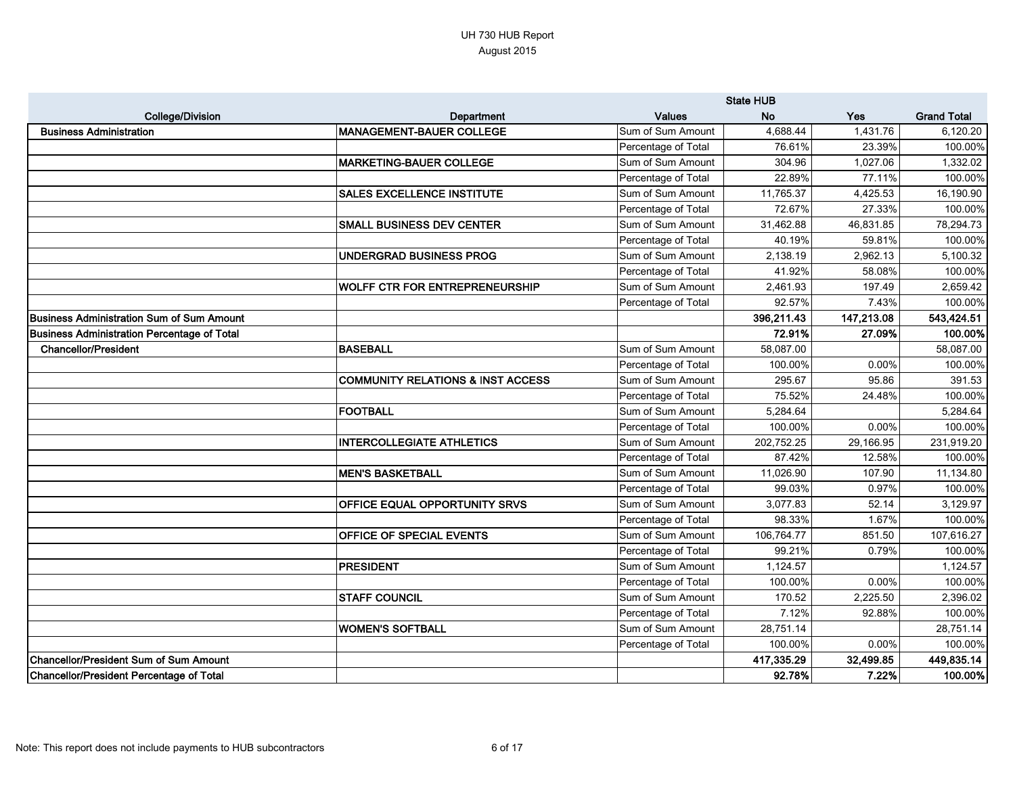|                                                    |                                       |                     | <b>State HUB</b> |            |                    |
|----------------------------------------------------|---------------------------------------|---------------------|------------------|------------|--------------------|
| <b>College/Division</b>                            | <b>Department</b>                     | <b>Values</b>       | <b>No</b>        | <b>Yes</b> | <b>Grand Total</b> |
| <b>Business Administration</b>                     | <b>MANAGEMENT-BAUER COLLEGE</b>       | Sum of Sum Amount   | 4,688.44         | 1,431.76   | 6,120.20           |
|                                                    |                                       | Percentage of Total | 76.61%           | 23.39%     | 100.00%            |
|                                                    | <b>MARKETING-BAUER COLLEGE</b>        | Sum of Sum Amount   | 304.96           | 1,027.06   | 1,332.02           |
|                                                    |                                       | Percentage of Total | 22.89%           | 77.11%     | 100.00%            |
|                                                    | <b>SALES EXCELLENCE INSTITUTE</b>     | Sum of Sum Amount   | 11,765.37        | 4,425.53   | 16,190.90          |
|                                                    |                                       | Percentage of Total | 72.67%           | 27.33%     | 100.00%            |
|                                                    | SMALL BUSINESS DEV CENTER             | Sum of Sum Amount   | 31,462.88        | 46,831.85  | 78,294.73          |
|                                                    |                                       | Percentage of Total | 40.19%           | 59.81%     | 100.00%            |
|                                                    | <b>UNDERGRAD BUSINESS PROG</b>        | Sum of Sum Amount   | 2,138.19         | 2,962.13   | 5,100.32           |
|                                                    |                                       | Percentage of Total | 41.92%           | 58.08%     | 100.00%            |
|                                                    | <b>WOLFF CTR FOR ENTREPRENEURSHIP</b> | Sum of Sum Amount   | 2,461.93         | 197.49     | 2,659.42           |
|                                                    |                                       | Percentage of Total | 92.57%           | 7.43%      | 100.00%            |
| Business Administration Sum of Sum Amount          |                                       |                     | 396,211.43       | 147,213.08 | 543,424.51         |
| <b>Business Administration Percentage of Total</b> |                                       |                     | 72.91%           | 27.09%     | 100.00%            |
| <b>Chancellor/President</b>                        | <b>BASEBALL</b>                       | Sum of Sum Amount   | 58,087.00        |            | 58,087.00          |
|                                                    |                                       | Percentage of Total | 100.00%          | 0.00%      | 100.00%            |
|                                                    | COMMUNITY RELATIONS & INST ACCESS     | Sum of Sum Amount   | 295.67           | 95.86      | 391.53             |
|                                                    |                                       | Percentage of Total | 75.52%           | 24.48%     | 100.00%            |
|                                                    | <b>FOOTBALL</b>                       | Sum of Sum Amount   | 5,284.64         |            | 5,284.64           |
|                                                    |                                       | Percentage of Total | 100.00%          | 0.00%      | 100.00%            |
|                                                    | <b>INTERCOLLEGIATE ATHLETICS</b>      | Sum of Sum Amount   | 202,752.25       | 29,166.95  | 231,919.20         |
|                                                    |                                       | Percentage of Total | 87.42%           | 12.58%     | 100.00%            |
|                                                    | <b>MEN'S BASKETBALL</b>               | Sum of Sum Amount   | 11,026.90        | 107.90     | 11,134.80          |
|                                                    |                                       | Percentage of Total | 99.03%           | 0.97%      | 100.00%            |
|                                                    | <b>OFFICE EQUAL OPPORTUNITY SRVS</b>  | Sum of Sum Amount   | 3,077.83         | 52.14      | 3,129.97           |
|                                                    |                                       | Percentage of Total | 98.33%           | 1.67%      | 100.00%            |
|                                                    | <b>OFFICE OF SPECIAL EVENTS</b>       | Sum of Sum Amount   | 106,764.77       | 851.50     | 107,616.27         |
|                                                    |                                       | Percentage of Total | 99.21%           | 0.79%      | 100.00%            |
|                                                    | <b>PRESIDENT</b>                      | Sum of Sum Amount   | 1,124.57         |            | 1,124.57           |
|                                                    |                                       | Percentage of Total | 100.00%          | $0.00\%$   | 100.00%            |
|                                                    | <b>STAFF COUNCIL</b>                  | Sum of Sum Amount   | 170.52           | 2,225.50   | 2,396.02           |
|                                                    |                                       | Percentage of Total | 7.12%            | 92.88%     | 100.00%            |
|                                                    | <b>WOMEN'S SOFTBALL</b>               | Sum of Sum Amount   | 28,751.14        |            | 28,751.14          |
|                                                    |                                       | Percentage of Total | 100.00%          | $0.00\%$   | 100.00%            |
| Chancellor/President Sum of Sum Amount             |                                       |                     | 417,335.29       | 32,499.85  | 449,835.14         |
| Chancellor/President Percentage of Total           |                                       |                     | 92.78%           | 7.22%      | 100.00%            |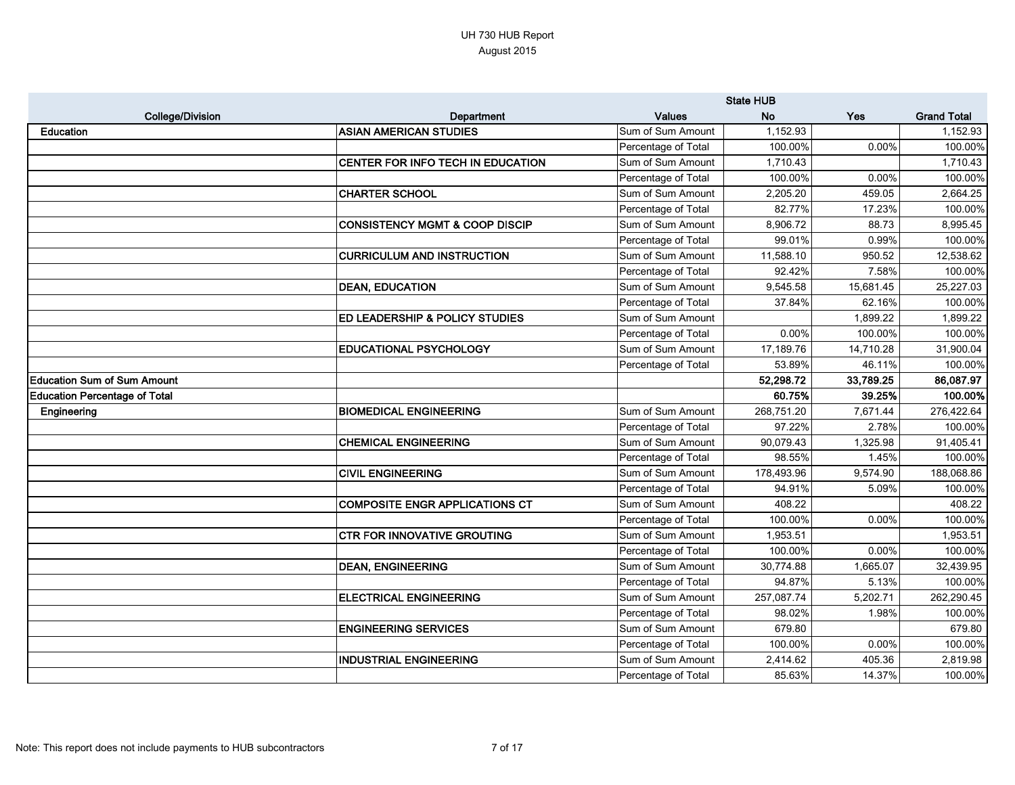|                                      |                                           |                     | <b>State HUB</b> |           |                    |
|--------------------------------------|-------------------------------------------|---------------------|------------------|-----------|--------------------|
| <b>College/Division</b>              | <b>Department</b>                         | <b>Values</b>       | <b>No</b>        | Yes       | <b>Grand Total</b> |
| <b>Education</b>                     | <b>ASIAN AMERICAN STUDIES</b>             | Sum of Sum Amount   | 1,152.93         |           | 1,152.93           |
|                                      |                                           | Percentage of Total | 100.00%          | 0.00%     | 100.00%            |
|                                      | CENTER FOR INFO TECH IN EDUCATION         | Sum of Sum Amount   | 1,710.43         |           | 1,710.43           |
|                                      |                                           | Percentage of Total | 100.00%          | 0.00%     | 100.00%            |
|                                      | <b>CHARTER SCHOOL</b>                     | Sum of Sum Amount   | 2,205.20         | 459.05    | 2,664.25           |
|                                      |                                           | Percentage of Total | 82.77%           | 17.23%    | 100.00%            |
|                                      | <b>CONSISTENCY MGMT &amp; COOP DISCIP</b> | Sum of Sum Amount   | 8,906.72         | 88.73     | 8,995.45           |
|                                      |                                           | Percentage of Total | 99.01%           | 0.99%     | 100.00%            |
|                                      | <b>CURRICULUM AND INSTRUCTION</b>         | Sum of Sum Amount   | 11,588.10        | 950.52    | 12,538.62          |
|                                      |                                           | Percentage of Total | 92.42%           | 7.58%     | 100.00%            |
|                                      | <b>DEAN, EDUCATION</b>                    | Sum of Sum Amount   | 9,545.58         | 15,681.45 | 25,227.03          |
|                                      |                                           | Percentage of Total | 37.84%           | 62.16%    | 100.00%            |
|                                      | <b>ED LEADERSHIP &amp; POLICY STUDIES</b> | Sum of Sum Amount   |                  | 1,899.22  | 1,899.22           |
|                                      |                                           | Percentage of Total | 0.00%            | 100.00%   | 100.00%            |
|                                      | <b>EDUCATIONAL PSYCHOLOGY</b>             | Sum of Sum Amount   | 17,189.76        | 14,710.28 | 31,900.04          |
|                                      |                                           | Percentage of Total | 53.89%           | 46.11%    | 100.00%            |
| <b>Education Sum of Sum Amount</b>   |                                           |                     | 52,298.72        | 33,789.25 | 86,087.97          |
| <b>Education Percentage of Total</b> |                                           |                     | 60.75%           | 39.25%    | 100.00%            |
| Engineering                          | <b>BIOMEDICAL ENGINEERING</b>             | Sum of Sum Amount   | 268,751.20       | 7,671.44  | 276,422.64         |
|                                      |                                           | Percentage of Total | 97.22%           | 2.78%     | 100.00%            |
|                                      | <b>CHEMICAL ENGINEERING</b>               | Sum of Sum Amount   | 90,079.43        | 1,325.98  | 91,405.41          |
|                                      |                                           | Percentage of Total | 98.55%           | 1.45%     | 100.00%            |
|                                      | <b>CIVIL ENGINEERING</b>                  | Sum of Sum Amount   | 178,493.96       | 9,574.90  | 188,068.86         |
|                                      |                                           | Percentage of Total | 94.91%           | 5.09%     | 100.00%            |
|                                      | <b>COMPOSITE ENGR APPLICATIONS CT</b>     | Sum of Sum Amount   | 408.22           |           | 408.22             |
|                                      |                                           | Percentage of Total | 100.00%          | 0.00%     | 100.00%            |
|                                      | <b>CTR FOR INNOVATIVE GROUTING</b>        | Sum of Sum Amount   | 1,953.51         |           | 1,953.51           |
|                                      |                                           | Percentage of Total | 100.00%          | 0.00%     | 100.00%            |
|                                      | <b>DEAN, ENGINEERING</b>                  | Sum of Sum Amount   | 30,774.88        | 1,665.07  | 32,439.95          |
|                                      |                                           | Percentage of Total | 94.87%           | 5.13%     | 100.00%            |
|                                      | <b>ELECTRICAL ENGINEERING</b>             | Sum of Sum Amount   | 257,087.74       | 5,202.71  | 262,290.45         |
|                                      |                                           | Percentage of Total | 98.02%           | 1.98%     | 100.00%            |
|                                      | <b>ENGINEERING SERVICES</b>               | Sum of Sum Amount   | 679.80           |           | 679.80             |
|                                      |                                           | Percentage of Total | 100.00%          | 0.00%     | 100.00%            |
|                                      | <b>INDUSTRIAL ENGINEERING</b>             | Sum of Sum Amount   | 2,414.62         | 405.36    | 2,819.98           |
|                                      |                                           | Percentage of Total | 85.63%           | 14.37%    | 100.00%            |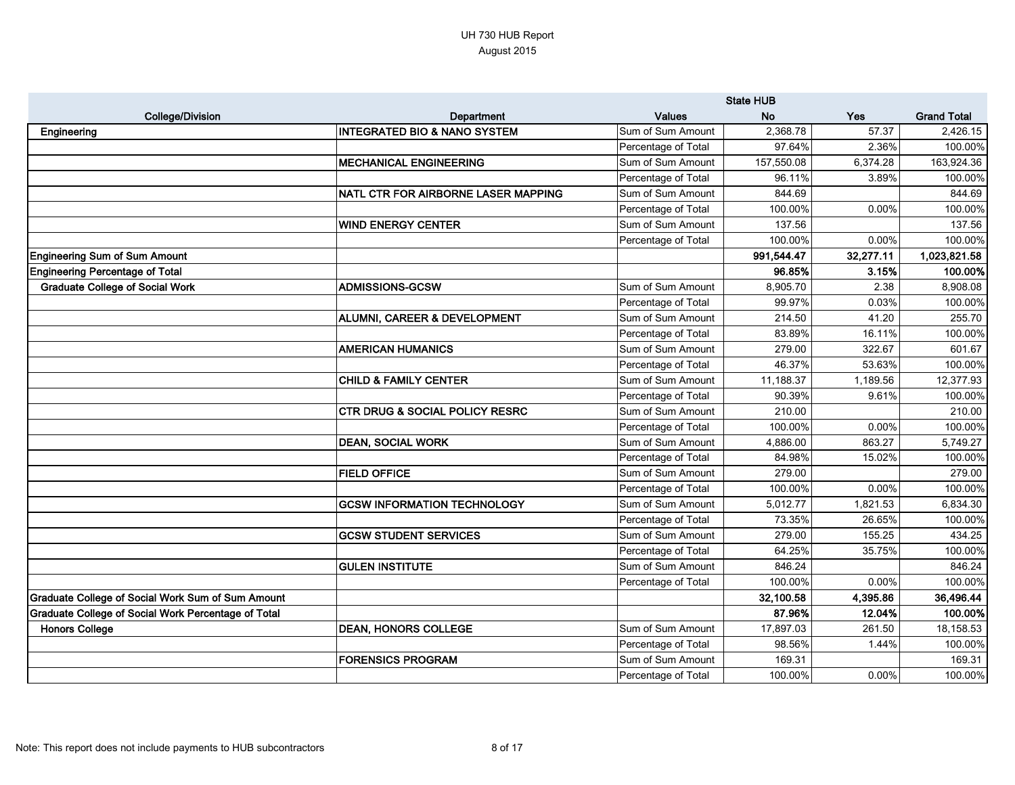|                                                     |                                           |                     | <b>State HUB</b> |           |                    |
|-----------------------------------------------------|-------------------------------------------|---------------------|------------------|-----------|--------------------|
| <b>College/Division</b>                             | Department                                | <b>Values</b>       | <b>No</b>        | Yes       | <b>Grand Total</b> |
| Engineering                                         | IINTEGRATED BIO & NANO SYSTEM             | Sum of Sum Amount   | 2,368.78         | 57.37     | 2,426.15           |
|                                                     |                                           | Percentage of Total | 97.64%           | 2.36%     | 100.00%            |
|                                                     | <b>MECHANICAL ENGINEERING</b>             | Sum of Sum Amount   | 157,550.08       | 6,374.28  | 163,924.36         |
|                                                     |                                           | Percentage of Total | 96.11%           | 3.89%     | 100.00%            |
|                                                     | NATL CTR FOR AIRBORNE LASER MAPPING       | Sum of Sum Amount   | 844.69           |           | 844.69             |
|                                                     |                                           | Percentage of Total | 100.00%          | 0.00%     | 100.00%            |
|                                                     | <b>WIND ENERGY CENTER</b>                 | Sum of Sum Amount   | 137.56           |           | 137.56             |
|                                                     |                                           | Percentage of Total | 100.00%          | 0.00%     | 100.00%            |
| <b>Engineering Sum of Sum Amount</b>                |                                           |                     | 991,544.47       | 32,277.11 | 1,023,821.58       |
| <b>Engineering Percentage of Total</b>              |                                           |                     | 96.85%           | 3.15%     | 100.00%            |
| <b>Graduate College of Social Work</b>              | <b>ADMISSIONS-GCSW</b>                    | Sum of Sum Amount   | 8,905.70         | 2.38      | 8,908.08           |
|                                                     |                                           | Percentage of Total | 99.97%           | 0.03%     | 100.00%            |
|                                                     | <b>ALUMNI, CAREER &amp; DEVELOPMENT</b>   | Sum of Sum Amount   | 214.50           | 41.20     | 255.70             |
|                                                     |                                           | Percentage of Total | 83.89%           | 16.11%    | 100.00%            |
|                                                     | <b>AMERICAN HUMANICS</b>                  | Sum of Sum Amount   | 279.00           | 322.67    | 601.67             |
|                                                     |                                           | Percentage of Total | 46.37%           | 53.63%    | 100.00%            |
|                                                     | <b>CHILD &amp; FAMILY CENTER</b>          | Sum of Sum Amount   | 11,188.37        | 1,189.56  | 12,377.93          |
|                                                     |                                           | Percentage of Total | 90.39%           | 9.61%     | 100.00%            |
|                                                     | <b>CTR DRUG &amp; SOCIAL POLICY RESRC</b> | Sum of Sum Amount   | 210.00           |           | 210.00             |
|                                                     |                                           | Percentage of Total | 100.00%          | 0.00%     | 100.00%            |
|                                                     | <b>DEAN, SOCIAL WORK</b>                  | Sum of Sum Amount   | 4,886.00         | 863.27    | 5,749.27           |
|                                                     |                                           | Percentage of Total | 84.98%           | 15.02%    | 100.00%            |
|                                                     | <b>FIELD OFFICE</b>                       | Sum of Sum Amount   | 279.00           |           | 279.00             |
|                                                     |                                           | Percentage of Total | 100.00%          | 0.00%     | 100.00%            |
|                                                     | <b>GCSW INFORMATION TECHNOLOGY</b>        | Sum of Sum Amount   | 5,012.77         | 1,821.53  | 6,834.30           |
|                                                     |                                           | Percentage of Total | 73.35%           | 26.65%    | 100.00%            |
|                                                     | <b>GCSW STUDENT SERVICES</b>              | Sum of Sum Amount   | 279.00           | 155.25    | 434.25             |
|                                                     |                                           | Percentage of Total | 64.25%           | 35.75%    | 100.00%            |
|                                                     | <b>GULEN INSTITUTE</b>                    | Sum of Sum Amount   | 846.24           |           | 846.24             |
|                                                     |                                           | Percentage of Total | 100.00%          | 0.00%     | 100.00%            |
| Graduate College of Social Work Sum of Sum Amount   |                                           |                     | 32,100.58        | 4,395.86  | 36,496.44          |
| Graduate College of Social Work Percentage of Total |                                           |                     | 87.96%           | 12.04%    | 100.00%            |
| <b>Honors College</b>                               | <b>DEAN, HONORS COLLEGE</b>               | Sum of Sum Amount   | 17,897.03        | 261.50    | 18,158.53          |
|                                                     |                                           | Percentage of Total | 98.56%           | 1.44%     | 100.00%            |
|                                                     | <b>FORENSICS PROGRAM</b>                  | Sum of Sum Amount   | 169.31           |           | 169.31             |
|                                                     |                                           | Percentage of Total | 100.00%          | 0.00%     | 100.00%            |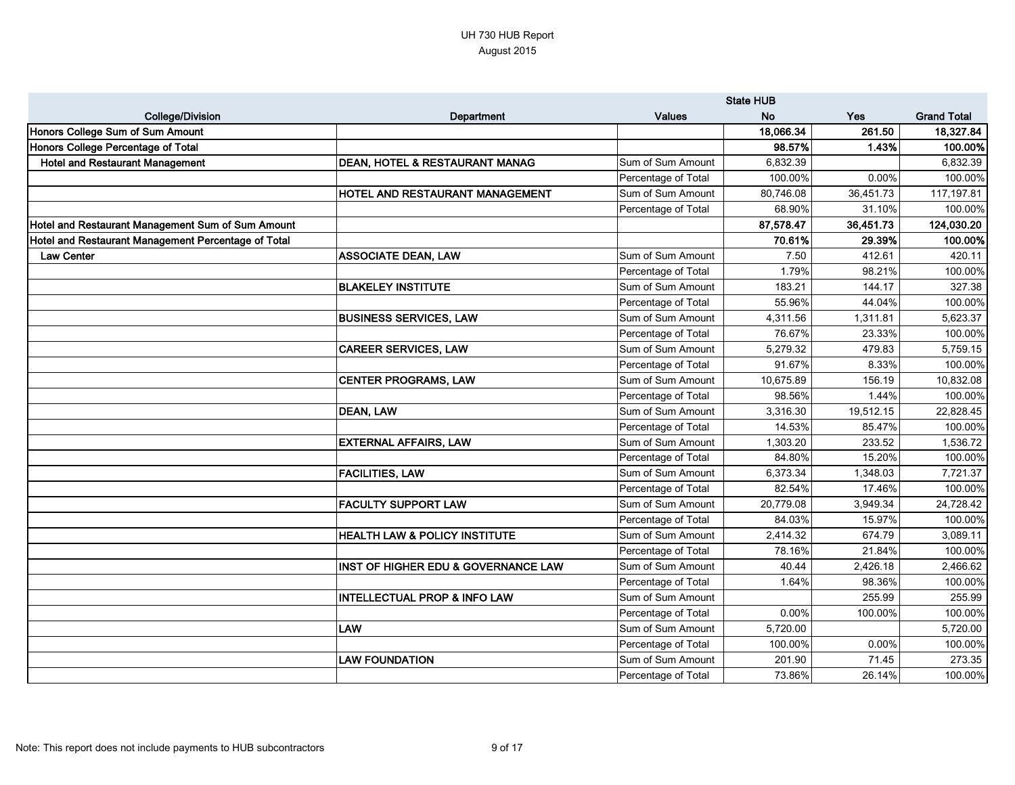|                                                     |                                                |                     | <b>State HUB</b> |            |                    |
|-----------------------------------------------------|------------------------------------------------|---------------------|------------------|------------|--------------------|
| <b>College/Division</b>                             | Department                                     | <b>Values</b>       | <b>No</b>        | <b>Yes</b> | <b>Grand Total</b> |
| Honors College Sum of Sum Amount                    |                                                |                     | 18,066.34        | 261.50     | 18,327.84          |
| Honors College Percentage of Total                  |                                                |                     | 98.57%           | 1.43%      | 100.00%            |
| <b>Hotel and Restaurant Management</b>              | DEAN, HOTEL & RESTAURANT MANAG                 | Sum of Sum Amount   | 6,832.39         |            | 6,832.39           |
|                                                     |                                                | Percentage of Total | 100.00%          | 0.00%      | 100.00%            |
|                                                     | HOTEL AND RESTAURANT MANAGEMENT                | Sum of Sum Amount   | 80,746.08        | 36,451.73  | 117,197.81         |
|                                                     |                                                | Percentage of Total | 68.90%           | 31.10%     | 100.00%            |
| Hotel and Restaurant Management Sum of Sum Amount   |                                                |                     | 87,578.47        | 36,451.73  | 124,030.20         |
| Hotel and Restaurant Management Percentage of Total |                                                |                     | 70.61%           | 29.39%     | 100.00%            |
| <b>Law Center</b>                                   | <b>ASSOCIATE DEAN, LAW</b>                     | Sum of Sum Amount   | 7.50             | 412.61     | 420.11             |
|                                                     |                                                | Percentage of Total | 1.79%            | 98.21%     | 100.00%            |
|                                                     | <b>BLAKELEY INSTITUTE</b>                      | Sum of Sum Amount   | 183.21           | 144.17     | 327.38             |
|                                                     |                                                | Percentage of Total | 55.96%           | 44.04%     | 100.00%            |
|                                                     | <b>BUSINESS SERVICES, LAW</b>                  | Sum of Sum Amount   | 4,311.56         | 1,311.81   | 5,623.37           |
|                                                     |                                                | Percentage of Total | 76.67%           | 23.33%     | 100.00%            |
|                                                     | <b>CAREER SERVICES, LAW</b>                    | Sum of Sum Amount   | 5,279.32         | 479.83     | 5,759.15           |
|                                                     |                                                | Percentage of Total | 91.67%           | 8.33%      | 100.00%            |
|                                                     | <b>CENTER PROGRAMS, LAW</b>                    | Sum of Sum Amount   | 10,675.89        | 156.19     | 10,832.08          |
|                                                     |                                                | Percentage of Total | 98.56%           | 1.44%      | 100.00%            |
|                                                     | <b>DEAN, LAW</b>                               | Sum of Sum Amount   | 3,316.30         | 19,512.15  | 22,828.45          |
|                                                     |                                                | Percentage of Total | 14.53%           | 85.47%     | 100.00%            |
|                                                     | <b>EXTERNAL AFFAIRS, LAW</b>                   | Sum of Sum Amount   | 1,303.20         | 233.52     | 1,536.72           |
|                                                     |                                                | Percentage of Total | 84.80%           | 15.20%     | 100.00%            |
|                                                     | <b>FACILITIES, LAW</b>                         | Sum of Sum Amount   | 6,373.34         | 1,348.03   | 7,721.37           |
|                                                     |                                                | Percentage of Total | 82.54%           | 17.46%     | 100.00%            |
|                                                     | <b>FACULTY SUPPORT LAW</b>                     | Sum of Sum Amount   | 20,779.08        | 3,949.34   | 24,728.42          |
|                                                     |                                                | Percentage of Total | 84.03%           | 15.97%     | 100.00%            |
|                                                     | <b>HEALTH LAW &amp; POLICY INSTITUTE</b>       | Sum of Sum Amount   | 2,414.32         | 674.79     | 3,089.11           |
|                                                     |                                                | Percentage of Total | 78.16%           | 21.84%     | 100.00%            |
|                                                     | <b>INST OF HIGHER EDU &amp; GOVERNANCE LAW</b> | Sum of Sum Amount   | 40.44            | 2,426.18   | 2,466.62           |
|                                                     |                                                | Percentage of Total | 1.64%            | 98.36%     | 100.00%            |
|                                                     | <b>INTELLECTUAL PROP &amp; INFO LAW</b>        | Sum of Sum Amount   |                  | 255.99     | 255.99             |
|                                                     |                                                | Percentage of Total | $0.00\%$         | 100.00%    | 100.00%            |
|                                                     | LAW                                            | Sum of Sum Amount   | 5,720.00         |            | 5,720.00           |
|                                                     |                                                | Percentage of Total | 100.00%          | 0.00%      | 100.00%            |
|                                                     | <b>LAW FOUNDATION</b>                          | Sum of Sum Amount   | 201.90           | 71.45      | 273.35             |
|                                                     |                                                | Percentage of Total | 73.86%           | 26.14%     | 100.00%            |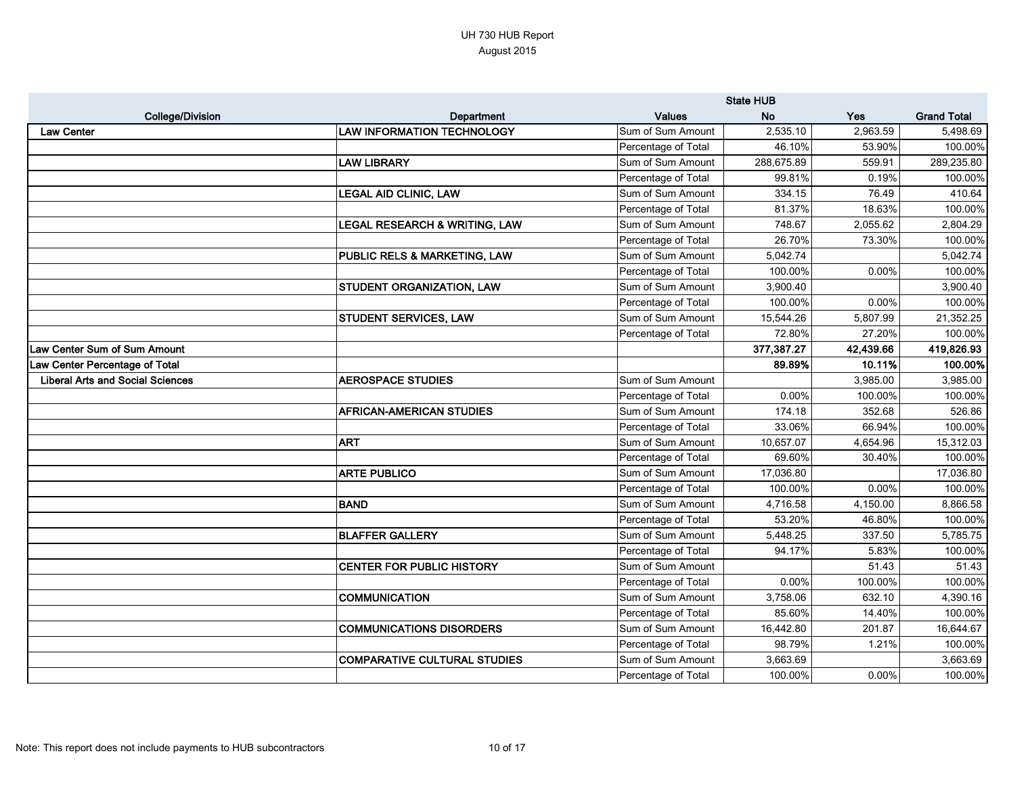|                                         |                                          |                     | <b>State HUB</b> |           |                    |
|-----------------------------------------|------------------------------------------|---------------------|------------------|-----------|--------------------|
| <b>College/Division</b>                 | <b>Department</b>                        | <b>Values</b>       | <b>No</b>        | Yes       | <b>Grand Total</b> |
| <b>Law Center</b>                       | <b>LAW INFORMATION TECHNOLOGY</b>        | Sum of Sum Amount   | 2,535.10         | 2,963.59  | 5,498.69           |
|                                         |                                          | Percentage of Total | 46.10%           | 53.90%    | 100.00%            |
|                                         | <b>LAW LIBRARY</b>                       | Sum of Sum Amount   | 288,675.89       | 559.91    | 289,235.80         |
|                                         |                                          | Percentage of Total | 99.81%           | 0.19%     | 100.00%            |
|                                         | <b>LEGAL AID CLINIC, LAW</b>             | Sum of Sum Amount   | 334.15           | 76.49     | 410.64             |
|                                         |                                          | Percentage of Total | 81.37%           | 18.63%    | 100.00%            |
|                                         | <b>LEGAL RESEARCH &amp; WRITING, LAW</b> | Sum of Sum Amount   | 748.67           | 2,055.62  | 2,804.29           |
|                                         |                                          | Percentage of Total | 26.70%           | 73.30%    | 100.00%            |
|                                         | <b>PUBLIC RELS &amp; MARKETING, LAW</b>  | Sum of Sum Amount   | 5,042.74         |           | 5,042.74           |
|                                         |                                          | Percentage of Total | 100.00%          | 0.00%     | 100.00%            |
|                                         | <b>STUDENT ORGANIZATION, LAW</b>         | Sum of Sum Amount   | 3,900.40         |           | 3,900.40           |
|                                         |                                          | Percentage of Total | 100.00%          | 0.00%     | 100.00%            |
|                                         | <b>STUDENT SERVICES, LAW</b>             | Sum of Sum Amount   | 15,544.26        | 5,807.99  | 21,352.25          |
|                                         |                                          | Percentage of Total | 72.80%           | 27.20%    | 100.00%            |
| Law Center Sum of Sum Amount            |                                          |                     | 377,387.27       | 42,439.66 | 419,826.93         |
| Law Center Percentage of Total          |                                          |                     | 89.89%           | 10.11%    | 100.00%            |
| <b>Liberal Arts and Social Sciences</b> | <b>AEROSPACE STUDIES</b>                 | Sum of Sum Amount   |                  | 3,985.00  | 3,985.00           |
|                                         |                                          | Percentage of Total | 0.00%            | 100.00%   | 100.00%            |
|                                         | <b>AFRICAN-AMERICAN STUDIES</b>          | Sum of Sum Amount   | 174.18           | 352.68    | 526.86             |
|                                         |                                          | Percentage of Total | 33.06%           | 66.94%    | 100.00%            |
|                                         | <b>ART</b>                               | Sum of Sum Amount   | 10,657.07        | 4,654.96  | 15,312.03          |
|                                         |                                          | Percentage of Total | 69.60%           | 30.40%    | 100.00%            |
|                                         | <b>ARTE PUBLICO</b>                      | Sum of Sum Amount   | 17,036.80        |           | 17,036.80          |
|                                         |                                          | Percentage of Total | 100.00%          | 0.00%     | 100.00%            |
|                                         | <b>BAND</b>                              | Sum of Sum Amount   | 4,716.58         | 4,150.00  | 8,866.58           |
|                                         |                                          | Percentage of Total | 53.20%           | 46.80%    | 100.00%            |
|                                         | <b>BLAFFER GALLERY</b>                   | Sum of Sum Amount   | 5,448.25         | 337.50    | 5,785.75           |
|                                         |                                          | Percentage of Total | 94.17%           | 5.83%     | 100.00%            |
|                                         | <b>CENTER FOR PUBLIC HISTORY</b>         | Sum of Sum Amount   |                  | 51.43     | 51.43              |
|                                         |                                          | Percentage of Total | 0.00%            | 100.00%   | 100.00%            |
|                                         | <b>COMMUNICATION</b>                     | Sum of Sum Amount   | 3,758.06         | 632.10    | 4,390.16           |
|                                         |                                          | Percentage of Total | 85.60%           | 14.40%    | 100.00%            |
|                                         | <b>COMMUNICATIONS DISORDERS</b>          | Sum of Sum Amount   | 16,442.80        | 201.87    | 16,644.67          |
|                                         |                                          | Percentage of Total | 98.79%           | 1.21%     | 100.00%            |
|                                         | <b>COMPARATIVE CULTURAL STUDIES</b>      | Sum of Sum Amount   | 3,663.69         |           | 3,663.69           |
|                                         |                                          | Percentage of Total | 100.00%          | 0.00%     | 100.00%            |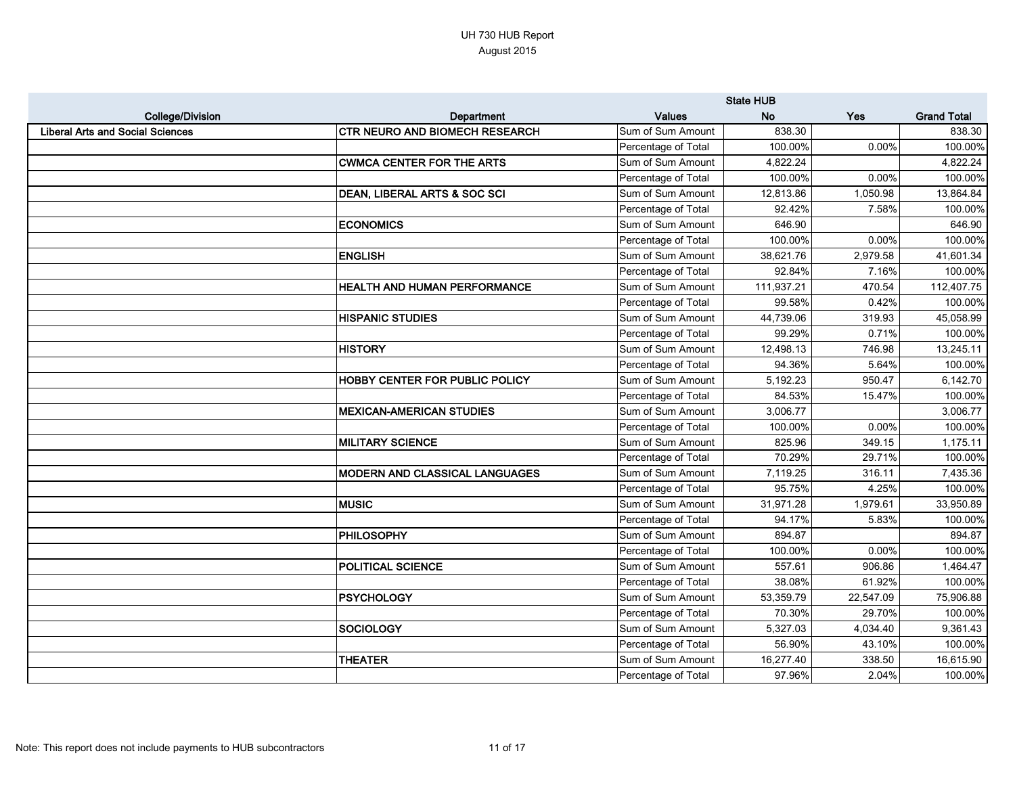|                                         |                                       |                     | <b>State HUB</b> |           |                    |
|-----------------------------------------|---------------------------------------|---------------------|------------------|-----------|--------------------|
| <b>College/Division</b>                 | <b>Department</b>                     | <b>Values</b>       | <b>No</b>        | Yes       | <b>Grand Total</b> |
| <b>Liberal Arts and Social Sciences</b> | <b>CTR NEURO AND BIOMECH RESEARCH</b> | Sum of Sum Amount   | 838.30           |           | 838.30             |
|                                         |                                       | Percentage of Total | 100.00%          | 0.00%     | 100.00%            |
|                                         | <b>CWMCA CENTER FOR THE ARTS</b>      | Sum of Sum Amount   | 4,822.24         |           | 4,822.24           |
|                                         |                                       | Percentage of Total | 100.00%          | 0.00%     | 100.00%            |
|                                         | DEAN, LIBERAL ARTS & SOC SCI          | Sum of Sum Amount   | 12,813.86        | 1,050.98  | 13,864.84          |
|                                         |                                       | Percentage of Total | 92.42%           | 7.58%     | 100.00%            |
|                                         | <b>ECONOMICS</b>                      | Sum of Sum Amount   | 646.90           |           | 646.90             |
|                                         |                                       | Percentage of Total | 100.00%          | 0.00%     | 100.00%            |
|                                         | <b>ENGLISH</b>                        | Sum of Sum Amount   | 38,621.76        | 2,979.58  | 41,601.34          |
|                                         |                                       | Percentage of Total | 92.84%           | 7.16%     | 100.00%            |
|                                         | <b>HEALTH AND HUMAN PERFORMANCE</b>   | Sum of Sum Amount   | 111,937.21       | 470.54    | 112,407.75         |
|                                         |                                       | Percentage of Total | 99.58%           | 0.42%     | 100.00%            |
|                                         | <b>HISPANIC STUDIES</b>               | Sum of Sum Amount   | 44,739.06        | 319.93    | 45,058.99          |
|                                         |                                       | Percentage of Total | 99.29%           | 0.71%     | 100.00%            |
|                                         | <b>HISTORY</b>                        | Sum of Sum Amount   | 12,498.13        | 746.98    | 13,245.11          |
|                                         |                                       | Percentage of Total | 94.36%           | 5.64%     | 100.00%            |
|                                         | <b>HOBBY CENTER FOR PUBLIC POLICY</b> | Sum of Sum Amount   | 5,192.23         | 950.47    | 6,142.70           |
|                                         |                                       | Percentage of Total | 84.53%           | 15.47%    | 100.00%            |
|                                         | <b>MEXICAN-AMERICAN STUDIES</b>       | Sum of Sum Amount   | 3,006.77         |           | 3,006.77           |
|                                         |                                       | Percentage of Total | 100.00%          | 0.00%     | 100.00%            |
|                                         | <b>MILITARY SCIENCE</b>               | Sum of Sum Amount   | 825.96           | 349.15    | 1,175.11           |
|                                         |                                       | Percentage of Total | 70.29%           | 29.71%    | 100.00%            |
|                                         | <b>MODERN AND CLASSICAL LANGUAGES</b> | Sum of Sum Amount   | 7,119.25         | 316.11    | 7,435.36           |
|                                         |                                       | Percentage of Total | 95.75%           | 4.25%     | 100.00%            |
|                                         | <b>MUSIC</b>                          | Sum of Sum Amount   | 31,971.28        | 1,979.61  | 33,950.89          |
|                                         |                                       | Percentage of Total | 94.17%           | 5.83%     | 100.00%            |
|                                         | <b>PHILOSOPHY</b>                     | Sum of Sum Amount   | 894.87           |           | 894.87             |
|                                         |                                       | Percentage of Total | 100.00%          | $0.00\%$  | 100.00%            |
|                                         | <b>POLITICAL SCIENCE</b>              | Sum of Sum Amount   | 557.61           | 906.86    | 1,464.47           |
|                                         |                                       | Percentage of Total | 38.08%           | 61.92%    | 100.00%            |
|                                         | <b>PSYCHOLOGY</b>                     | Sum of Sum Amount   | 53,359.79        | 22,547.09 | 75,906.88          |
|                                         |                                       | Percentage of Total | 70.30%           | 29.70%    | 100.00%            |
|                                         | SOCIOLOGY                             | Sum of Sum Amount   | 5,327.03         | 4,034.40  | 9,361.43           |
|                                         |                                       | Percentage of Total | 56.90%           | 43.10%    | 100.00%            |
|                                         | <b>THEATER</b>                        | Sum of Sum Amount   | 16,277.40        | 338.50    | 16,615.90          |
|                                         |                                       | Percentage of Total | 97.96%           | 2.04%     | 100.00%            |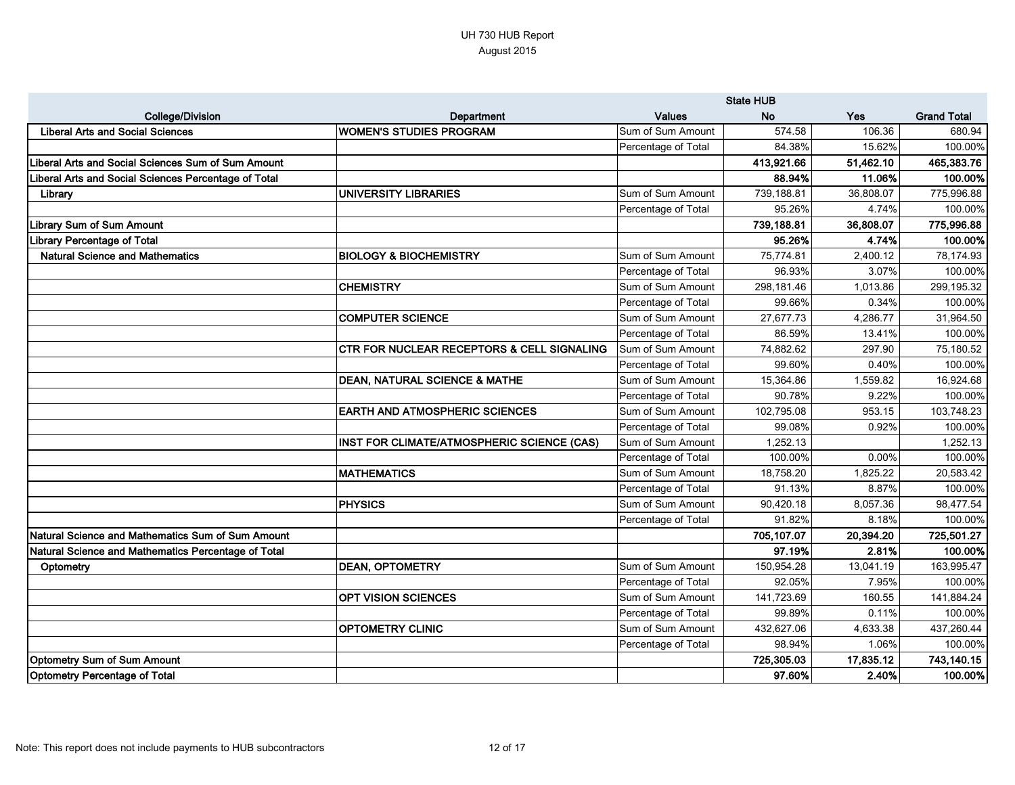|                                                      |                                            |                     | <b>State HUB</b> |           |                    |
|------------------------------------------------------|--------------------------------------------|---------------------|------------------|-----------|--------------------|
| <b>College/Division</b>                              | Department                                 | <b>Values</b>       | <b>No</b>        | Yes       | <b>Grand Total</b> |
| <b>Liberal Arts and Social Sciences</b>              | <b>WOMEN'S STUDIES PROGRAM</b>             | Sum of Sum Amount   | 574.58           | 106.36    | 680.94             |
|                                                      |                                            | Percentage of Total | 84.38%           | 15.62%    | 100.00%            |
| Liberal Arts and Social Sciences Sum of Sum Amount   |                                            |                     | 413,921.66       | 51,462.10 | 465,383.76         |
| Liberal Arts and Social Sciences Percentage of Total |                                            |                     | 88.94%           | 11.06%    | 100.00%            |
| Library                                              | UNIVERSITY LIBRARIES                       | Sum of Sum Amount   | 739,188.81       | 36,808.07 | 775,996.88         |
|                                                      |                                            | Percentage of Total | 95.26%           | 4.74%     | 100.00%            |
| <b>Library Sum of Sum Amount</b>                     |                                            |                     | 739,188.81       | 36,808.07 | 775,996.88         |
| Library Percentage of Total                          |                                            |                     | 95.26%           | 4.74%     | 100.00%            |
| <b>Natural Science and Mathematics</b>               | <b>BIOLOGY &amp; BIOCHEMISTRY</b>          | Sum of Sum Amount   | 75,774.81        | 2,400.12  | 78,174.93          |
|                                                      |                                            | Percentage of Total | 96.93%           | 3.07%     | 100.00%            |
|                                                      | <b>CHEMISTRY</b>                           | Sum of Sum Amount   | 298,181.46       | 1,013.86  | 299,195.32         |
|                                                      |                                            | Percentage of Total | 99.66%           | 0.34%     | 100.00%            |
|                                                      | <b>COMPUTER SCIENCE</b>                    | Sum of Sum Amount   | 27,677.73        | 4,286.77  | 31,964.50          |
|                                                      |                                            | Percentage of Total | 86.59%           | 13.41%    | 100.00%            |
|                                                      | CTR FOR NUCLEAR RECEPTORS & CELL SIGNALING | Sum of Sum Amount   | 74,882.62        | 297.90    | 75,180.52          |
|                                                      |                                            | Percentage of Total | 99.60%           | 0.40%     | 100.00%            |
|                                                      | <b>DEAN, NATURAL SCIENCE &amp; MATHE</b>   | Sum of Sum Amount   | 15,364.86        | 1,559.82  | 16,924.68          |
|                                                      |                                            | Percentage of Total | 90.78%           | 9.22%     | 100.00%            |
|                                                      | <b>EARTH AND ATMOSPHERIC SCIENCES</b>      | Sum of Sum Amount   | 102,795.08       | 953.15    | 103,748.23         |
|                                                      |                                            | Percentage of Total | 99.08%           | 0.92%     | 100.00%            |
|                                                      | INST FOR CLIMATE/ATMOSPHERIC SCIENCE (CAS) | Sum of Sum Amount   | 1,252.13         |           | 1,252.13           |
|                                                      |                                            | Percentage of Total | 100.00%          | 0.00%     | 100.00%            |
|                                                      | <b>MATHEMATICS</b>                         | Sum of Sum Amount   | 18,758.20        | 1,825.22  | 20,583.42          |
|                                                      |                                            | Percentage of Total | 91.13%           | 8.87%     | 100.00%            |
|                                                      | <b>PHYSICS</b>                             | Sum of Sum Amount   | 90,420.18        | 8,057.36  | 98,477.54          |
|                                                      |                                            | Percentage of Total | 91.82%           | 8.18%     | 100.00%            |
| Natural Science and Mathematics Sum of Sum Amount    |                                            |                     | 705,107.07       | 20,394.20 | 725,501.27         |
| Natural Science and Mathematics Percentage of Total  |                                            |                     | 97.19%           | 2.81%     | 100.00%            |
| Optometry                                            | <b>DEAN, OPTOMETRY</b>                     | Sum of Sum Amount   | 150,954.28       | 13,041.19 | 163,995.47         |
|                                                      |                                            | Percentage of Total | 92.05%           | 7.95%     | 100.00%            |
|                                                      | OPT VISION SCIENCES                        | Sum of Sum Amount   | 141,723.69       | 160.55    | 141,884.24         |
|                                                      |                                            | Percentage of Total | 99.89%           | 0.11%     | 100.00%            |
|                                                      | <b>OPTOMETRY CLINIC</b>                    | Sum of Sum Amount   | 432,627.06       | 4,633.38  | 437,260.44         |
|                                                      |                                            | Percentage of Total | 98.94%           | 1.06%     | 100.00%            |
| <b>Optometry Sum of Sum Amount</b>                   |                                            |                     | 725,305.03       | 17,835.12 | 743,140.15         |
| <b>Optometry Percentage of Total</b>                 |                                            |                     | 97.60%           | 2.40%     | 100.00%            |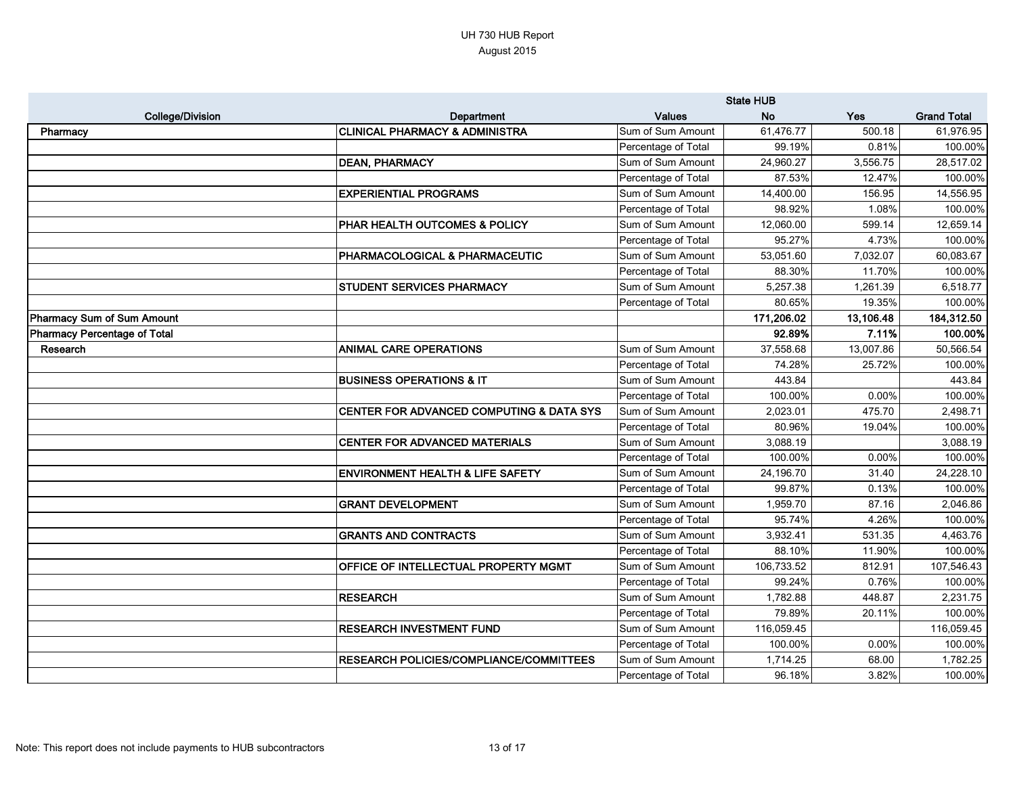|                              |                                                | <b>State HUB</b>    |            |           |                    |
|------------------------------|------------------------------------------------|---------------------|------------|-----------|--------------------|
| <b>College/Division</b>      | Department                                     | <b>Values</b>       | <b>No</b>  | Yes       | <b>Grand Total</b> |
| Pharmacy                     | CLINICAL PHARMACY & ADMINISTRA                 | Sum of Sum Amount   | 61,476.77  | 500.18    | 61,976.95          |
|                              |                                                | Percentage of Total | 99.19%     | 0.81%     | 100.00%            |
|                              | <b>DEAN, PHARMACY</b>                          | Sum of Sum Amount   | 24,960.27  | 3,556.75  | 28,517.02          |
|                              |                                                | Percentage of Total | 87.53%     | 12.47%    | 100.00%            |
|                              | <b>EXPERIENTIAL PROGRAMS</b>                   | Sum of Sum Amount   | 14,400.00  | 156.95    | 14,556.95          |
|                              |                                                | Percentage of Total | 98.92%     | 1.08%     | 100.00%            |
|                              | <b>PHAR HEALTH OUTCOMES &amp; POLICY</b>       | Sum of Sum Amount   | 12,060.00  | 599.14    | 12,659.14          |
|                              |                                                | Percentage of Total | 95.27%     | 4.73%     | 100.00%            |
|                              | PHARMACOLOGICAL & PHARMACEUTIC                 | Sum of Sum Amount   | 53,051.60  | 7,032.07  | 60,083.67          |
|                              |                                                | Percentage of Total | 88.30%     | 11.70%    | 100.00%            |
|                              | <b>STUDENT SERVICES PHARMACY</b>               | Sum of Sum Amount   | 5,257.38   | 1,261.39  | 6,518.77           |
|                              |                                                | Percentage of Total | 80.65%     | 19.35%    | 100.00%            |
| Pharmacy Sum of Sum Amount   |                                                |                     | 171,206.02 | 13,106.48 | 184,312.50         |
| Pharmacy Percentage of Total |                                                |                     | 92.89%     | 7.11%     | 100.00%            |
| Research                     | <b>ANIMAL CARE OPERATIONS</b>                  | Sum of Sum Amount   | 37,558.68  | 13,007.86 | 50,566.54          |
|                              |                                                | Percentage of Total | 74.28%     | 25.72%    | 100.00%            |
|                              | <b>BUSINESS OPERATIONS &amp; IT</b>            | Sum of Sum Amount   | 443.84     |           | 443.84             |
|                              |                                                | Percentage of Total | 100.00%    | 0.00%     | 100.00%            |
|                              | CENTER FOR ADVANCED COMPUTING & DATA SYS       | Sum of Sum Amount   | 2,023.01   | 475.70    | 2,498.71           |
|                              |                                                | Percentage of Total | 80.96%     | 19.04%    | 100.00%            |
|                              | <b>CENTER FOR ADVANCED MATERIALS</b>           | Sum of Sum Amount   | 3,088.19   |           | 3,088.19           |
|                              |                                                | Percentage of Total | 100.00%    | 0.00%     | 100.00%            |
|                              | <b>ENVIRONMENT HEALTH &amp; LIFE SAFETY</b>    | Sum of Sum Amount   | 24,196.70  | 31.40     | 24,228.10          |
|                              |                                                | Percentage of Total | 99.87%     | 0.13%     | 100.00%            |
|                              | <b>GRANT DEVELOPMENT</b>                       | Sum of Sum Amount   | 1,959.70   | 87.16     | 2,046.86           |
|                              |                                                | Percentage of Total | 95.74%     | 4.26%     | 100.00%            |
|                              | <b>GRANTS AND CONTRACTS</b>                    | Sum of Sum Amount   | 3,932.41   | 531.35    | 4,463.76           |
|                              |                                                | Percentage of Total | 88.10%     | 11.90%    | 100.00%            |
|                              | <b>OFFICE OF INTELLECTUAL PROPERTY MGMT</b>    | Sum of Sum Amount   | 106,733.52 | 812.91    | 107,546.43         |
|                              |                                                | Percentage of Total | 99.24%     | 0.76%     | 100.00%            |
|                              | <b>RESEARCH</b>                                | Sum of Sum Amount   | 1,782.88   | 448.87    | 2,231.75           |
|                              |                                                | Percentage of Total | 79.89%     | 20.11%    | 100.00%            |
|                              | <b>RESEARCH INVESTMENT FUND</b>                | Sum of Sum Amount   | 116,059.45 |           | 116,059.45         |
|                              |                                                | Percentage of Total | 100.00%    | 0.00%     | 100.00%            |
|                              | <b>RESEARCH POLICIES/COMPLIANCE/COMMITTEES</b> | Sum of Sum Amount   | 1,714.25   | 68.00     | 1,782.25           |
|                              |                                                | Percentage of Total | 96.18%     | 3.82%     | 100.00%            |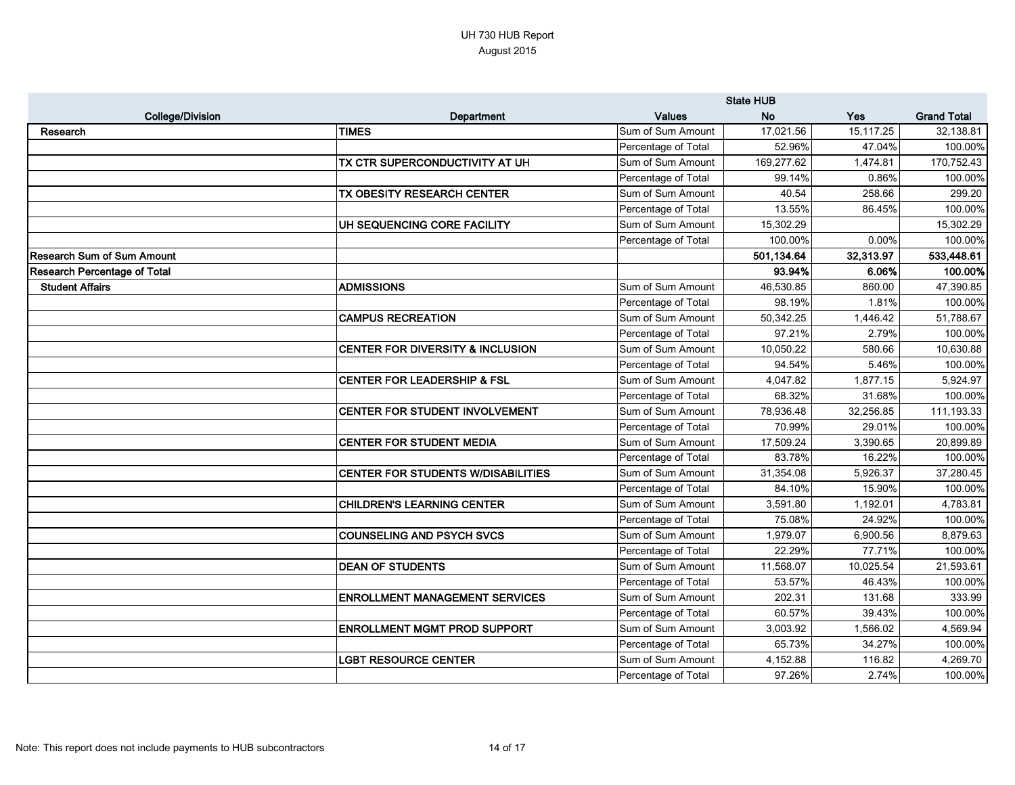|                                     |                                             | <b>State HUB</b>    |            |           |                    |
|-------------------------------------|---------------------------------------------|---------------------|------------|-----------|--------------------|
| <b>College/Division</b>             | Department                                  | <b>Values</b>       | <b>No</b>  | Yes       | <b>Grand Total</b> |
| Research                            | <b>TIMES</b>                                | Sum of Sum Amount   | 17,021.56  | 15,117.25 | 32,138.81          |
|                                     |                                             | Percentage of Total | 52.96%     | 47.04%    | 100.00%            |
|                                     | TX CTR SUPERCONDUCTIVITY AT UH              | Sum of Sum Amount   | 169,277.62 | 1,474.81  | 170,752.43         |
|                                     |                                             | Percentage of Total | 99.14%     | 0.86%     | 100.00%            |
|                                     | TX OBESITY RESEARCH CENTER                  | Sum of Sum Amount   | 40.54      | 258.66    | 299.20             |
|                                     |                                             | Percentage of Total | 13.55%     | 86.45%    | 100.00%            |
|                                     | UH SEQUENCING CORE FACILITY                 | Sum of Sum Amount   | 15,302.29  |           | 15,302.29          |
|                                     |                                             | Percentage of Total | 100.00%    | 0.00%     | 100.00%            |
| <b>Research Sum of Sum Amount</b>   |                                             |                     | 501,134.64 | 32,313.97 | 533,448.61         |
| <b>Research Percentage of Total</b> |                                             |                     | 93.94%     | 6.06%     | 100.00%            |
| <b>Student Affairs</b>              | <b>ADMISSIONS</b>                           | Sum of Sum Amount   | 46,530.85  | 860.00    | 47,390.85          |
|                                     |                                             | Percentage of Total | 98.19%     | 1.81%     | 100.00%            |
|                                     | <b>CAMPUS RECREATION</b>                    | Sum of Sum Amount   | 50,342.25  | 1,446.42  | 51,788.67          |
|                                     |                                             | Percentage of Total | 97.21%     | 2.79%     | 100.00%            |
|                                     | <b>CENTER FOR DIVERSITY &amp; INCLUSION</b> | Sum of Sum Amount   | 10,050.22  | 580.66    | 10,630.88          |
|                                     |                                             | Percentage of Total | 94.54%     | 5.46%     | 100.00%            |
|                                     | <b>CENTER FOR LEADERSHIP &amp; FSL</b>      | Sum of Sum Amount   | 4,047.82   | 1,877.15  | 5,924.97           |
|                                     |                                             | Percentage of Total | 68.32%     | 31.68%    | 100.00%            |
|                                     | <b>CENTER FOR STUDENT INVOLVEMENT</b>       | Sum of Sum Amount   | 78,936.48  | 32,256.85 | 111,193.33         |
|                                     |                                             | Percentage of Total | 70.99%     | 29.01%    | 100.00%            |
|                                     | <b>CENTER FOR STUDENT MEDIA</b>             | Sum of Sum Amount   | 17,509.24  | 3,390.65  | 20,899.89          |
|                                     |                                             | Percentage of Total | 83.78%     | 16.22%    | 100.00%            |
|                                     | CENTER FOR STUDENTS W/DISABILITIES          | Sum of Sum Amount   | 31,354.08  | 5,926.37  | 37,280.45          |
|                                     |                                             | Percentage of Total | 84.10%     | 15.90%    | 100.00%            |
|                                     | <b>CHILDREN'S LEARNING CENTER</b>           | Sum of Sum Amount   | 3,591.80   | 1,192.01  | 4,783.81           |
|                                     |                                             | Percentage of Total | 75.08%     | 24.92%    | 100.00%            |
|                                     | <b>COUNSELING AND PSYCH SVCS</b>            | Sum of Sum Amount   | 1,979.07   | 6,900.56  | 8,879.63           |
|                                     |                                             | Percentage of Total | 22.29%     | 77.71%    | 100.00%            |
|                                     | <b>DEAN OF STUDENTS</b>                     | Sum of Sum Amount   | 11,568.07  | 10,025.54 | 21,593.61          |
|                                     |                                             | Percentage of Total | 53.57%     | 46.43%    | 100.00%            |
|                                     | <b>ENROLLMENT MANAGEMENT SERVICES</b>       | Sum of Sum Amount   | 202.31     | 131.68    | 333.99             |
|                                     |                                             | Percentage of Total | 60.57%     | 39.43%    | 100.00%            |
|                                     | <b>ENROLLMENT MGMT PROD SUPPORT</b>         | Sum of Sum Amount   | 3,003.92   | 1,566.02  | 4,569.94           |
|                                     |                                             | Percentage of Total | 65.73%     | 34.27%    | 100.00%            |
|                                     | <b>LGBT RESOURCE CENTER</b>                 | Sum of Sum Amount   | 4,152.88   | 116.82    | 4,269.70           |
|                                     |                                             | Percentage of Total | 97.26%     | 2.74%     | 100.00%            |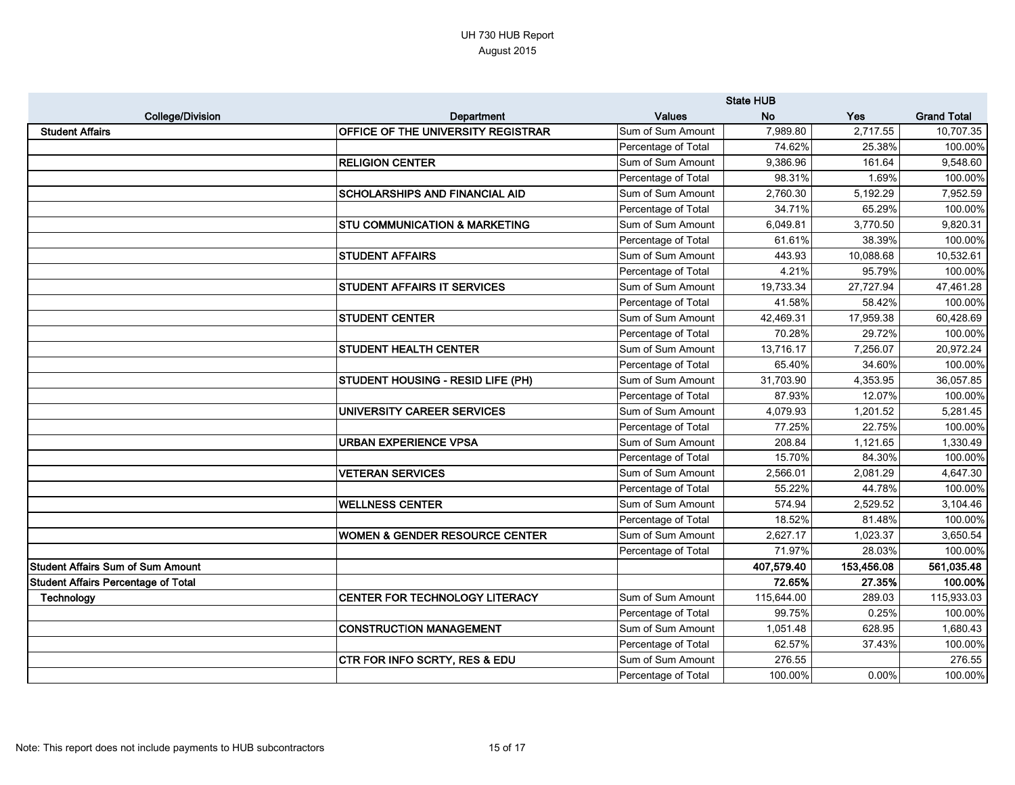|                                            |                                           | <b>State HUB</b>    |            |            |                    |
|--------------------------------------------|-------------------------------------------|---------------------|------------|------------|--------------------|
| <b>College/Division</b>                    | Department                                | <b>Values</b>       | <b>No</b>  | Yes        | <b>Grand Total</b> |
| <b>Student Affairs</b>                     | <b>OFFICE OF THE UNIVERSITY REGISTRAR</b> | Sum of Sum Amount   | 7,989.80   | 2,717.55   | 10,707.35          |
|                                            |                                           | Percentage of Total | 74.62%     | 25.38%     | 100.00%            |
|                                            | <b>RELIGION CENTER</b>                    | Sum of Sum Amount   | 9,386.96   | 161.64     | 9,548.60           |
|                                            |                                           | Percentage of Total | 98.31%     | 1.69%      | 100.00%            |
|                                            | <b>SCHOLARSHIPS AND FINANCIAL AID</b>     | Sum of Sum Amount   | 2,760.30   | 5,192.29   | 7,952.59           |
|                                            |                                           | Percentage of Total | 34.71%     | 65.29%     | 100.00%            |
|                                            | <b>STU COMMUNICATION &amp; MARKETING</b>  | Sum of Sum Amount   | 6,049.81   | 3,770.50   | 9,820.31           |
|                                            |                                           | Percentage of Total | 61.61%     | 38.39%     | 100.00%            |
|                                            | <b>STUDENT AFFAIRS</b>                    | Sum of Sum Amount   | 443.93     | 10,088.68  | 10,532.61          |
|                                            |                                           | Percentage of Total | 4.21%      | 95.79%     | 100.00%            |
|                                            | <b>STUDENT AFFAIRS IT SERVICES</b>        | Sum of Sum Amount   | 19,733.34  | 27,727.94  | 47,461.28          |
|                                            |                                           | Percentage of Total | 41.58%     | 58.42%     | 100.00%            |
|                                            | <b>STUDENT CENTER</b>                     | Sum of Sum Amount   | 42,469.31  | 17,959.38  | 60,428.69          |
|                                            |                                           | Percentage of Total | 70.28%     | 29.72%     | 100.00%            |
|                                            | <b>STUDENT HEALTH CENTER</b>              | Sum of Sum Amount   | 13,716.17  | 7,256.07   | 20,972.24          |
|                                            |                                           | Percentage of Total | 65.40%     | 34.60%     | 100.00%            |
|                                            | STUDENT HOUSING - RESID LIFE (PH)         | Sum of Sum Amount   | 31,703.90  | 4,353.95   | 36,057.85          |
|                                            |                                           | Percentage of Total | 87.93%     | 12.07%     | 100.00%            |
|                                            | UNIVERSITY CAREER SERVICES                | Sum of Sum Amount   | 4,079.93   | 1,201.52   | 5,281.45           |
|                                            |                                           | Percentage of Total | 77.25%     | 22.75%     | 100.00%            |
|                                            | <b>URBAN EXPERIENCE VPSA</b>              | Sum of Sum Amount   | 208.84     | 1,121.65   | 1,330.49           |
|                                            |                                           | Percentage of Total | 15.70%     | 84.30%     | 100.00%            |
|                                            | <b>VETERAN SERVICES</b>                   | Sum of Sum Amount   | 2,566.01   | 2,081.29   | 4,647.30           |
|                                            |                                           | Percentage of Total | 55.22%     | 44.78%     | 100.00%            |
|                                            | <b>WELLNESS CENTER</b>                    | Sum of Sum Amount   | 574.94     | 2,529.52   | 3,104.46           |
|                                            |                                           | Percentage of Total | 18.52%     | 81.48%     | 100.00%            |
|                                            | WOMEN & GENDER RESOURCE CENTER            | Sum of Sum Amount   | 2,627.17   | 1,023.37   | 3,650.54           |
|                                            |                                           | Percentage of Total | 71.97%     | 28.03%     | 100.00%            |
| <b>Student Affairs Sum of Sum Amount</b>   |                                           |                     | 407,579.40 | 153,456.08 | 561,035.48         |
| <b>Student Affairs Percentage of Total</b> |                                           |                     | 72.65%     | 27.35%     | 100.00%            |
| <b>Technology</b>                          | <b>CENTER FOR TECHNOLOGY LITERACY</b>     | Sum of Sum Amount   | 115,644.00 | 289.03     | 115,933.03         |
|                                            |                                           | Percentage of Total | 99.75%     | 0.25%      | 100.00%            |
|                                            | CONSTRUCTION MANAGEMENT                   | Sum of Sum Amount   | 1,051.48   | 628.95     | 1,680.43           |
|                                            |                                           | Percentage of Total | 62.57%     | 37.43%     | 100.00%            |
|                                            | <b>CTR FOR INFO SCRTY, RES &amp; EDU</b>  | Sum of Sum Amount   | 276.55     |            | 276.55             |
|                                            |                                           | Percentage of Total | 100.00%    | 0.00%      | 100.00%            |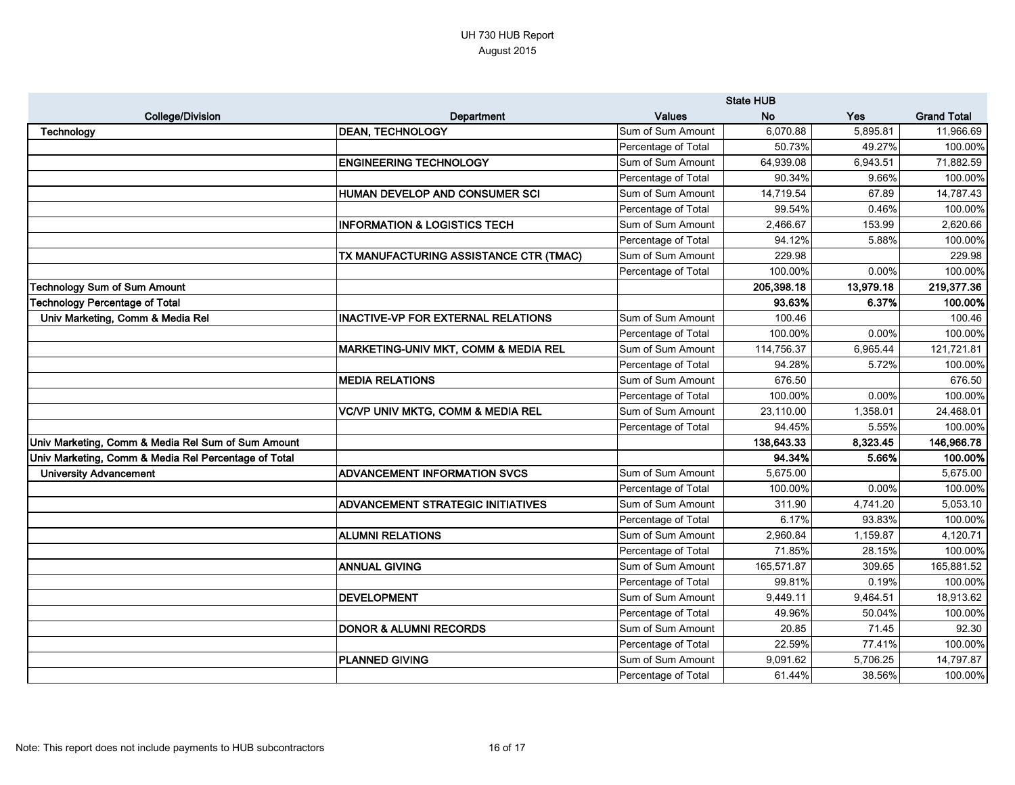|                                                      |                                              | <b>State HUB</b>    |            |            |                    |
|------------------------------------------------------|----------------------------------------------|---------------------|------------|------------|--------------------|
| <b>College/Division</b>                              | Department                                   | <b>Values</b>       | <b>No</b>  | <b>Yes</b> | <b>Grand Total</b> |
| Technology                                           | <b>DEAN, TECHNOLOGY</b>                      | Sum of Sum Amount   | 6,070.88   | 5,895.81   | 11,966.69          |
|                                                      |                                              | Percentage of Total | 50.73%     | 49.27%     | 100.00%            |
|                                                      | <b>ENGINEERING TECHNOLOGY</b>                | Sum of Sum Amount   | 64,939.08  | 6,943.51   | 71,882.59          |
|                                                      |                                              | Percentage of Total | 90.34%     | 9.66%      | 100.00%            |
|                                                      | HUMAN DEVELOP AND CONSUMER SCI               | Sum of Sum Amount   | 14,719.54  | 67.89      | 14,787.43          |
|                                                      |                                              | Percentage of Total | 99.54%     | 0.46%      | 100.00%            |
|                                                      | <b>INFORMATION &amp; LOGISTICS TECH</b>      | Sum of Sum Amount   | 2,466.67   | 153.99     | 2,620.66           |
|                                                      |                                              | Percentage of Total | 94.12%     | 5.88%      | 100.00%            |
|                                                      | TX MANUFACTURING ASSISTANCE CTR (TMAC)       | Sum of Sum Amount   | 229.98     |            | 229.98             |
|                                                      |                                              | Percentage of Total | 100.00%    | 0.00%      | 100.00%            |
| <b>Technology Sum of Sum Amount</b>                  |                                              |                     | 205,398.18 | 13,979.18  | 219,377.36         |
| <b>Technology Percentage of Total</b>                |                                              |                     | 93.63%     | 6.37%      | 100.00%            |
| Univ Marketing, Comm & Media Rel                     | <b>INACTIVE-VP FOR EXTERNAL RELATIONS</b>    | Sum of Sum Amount   | 100.46     |            | 100.46             |
|                                                      |                                              | Percentage of Total | 100.00%    | 0.00%      | 100.00%            |
|                                                      | MARKETING-UNIV MKT, COMM & MEDIA REL         | Sum of Sum Amount   | 114,756.37 | 6,965.44   | 121,721.81         |
|                                                      |                                              | Percentage of Total | 94.28%     | 5.72%      | 100.00%            |
|                                                      | <b>MEDIA RELATIONS</b>                       | Sum of Sum Amount   | 676.50     |            | 676.50             |
|                                                      |                                              | Percentage of Total | 100.00%    | 0.00%      | 100.00%            |
|                                                      | <b>VC/VP UNIV MKTG, COMM &amp; MEDIA REL</b> | Sum of Sum Amount   | 23,110.00  | 1,358.01   | 24,468.01          |
|                                                      |                                              | Percentage of Total | 94.45%     | 5.55%      | 100.00%            |
| Univ Marketing, Comm & Media Rel Sum of Sum Amount   |                                              |                     | 138,643.33 | 8,323.45   | 146,966.78         |
| Univ Marketing, Comm & Media Rel Percentage of Total |                                              |                     | 94.34%     | 5.66%      | 100.00%            |
| <b>University Advancement</b>                        | <b>ADVANCEMENT INFORMATION SVCS</b>          | Sum of Sum Amount   | 5,675.00   |            | 5,675.00           |
|                                                      |                                              | Percentage of Total | 100.00%    | 0.00%      | 100.00%            |
|                                                      | <b>ADVANCEMENT STRATEGIC INITIATIVES</b>     | Sum of Sum Amount   | 311.90     | 4,741.20   | 5,053.10           |
|                                                      |                                              | Percentage of Total | 6.17%      | 93.83%     | 100.00%            |
|                                                      | <b>ALUMNI RELATIONS</b>                      | Sum of Sum Amount   | 2,960.84   | 1,159.87   | 4,120.71           |
|                                                      |                                              | Percentage of Total | 71.85%     | 28.15%     | 100.00%            |
|                                                      | <b>ANNUAL GIVING</b>                         | Sum of Sum Amount   | 165,571.87 | 309.65     | 165,881.52         |
|                                                      |                                              | Percentage of Total | 99.81%     | 0.19%      | 100.00%            |
|                                                      | DEVELOPMENT                                  | Sum of Sum Amount   | 9,449.11   | 9,464.51   | 18,913.62          |
|                                                      |                                              | Percentage of Total | 49.96%     | 50.04%     | 100.00%            |
|                                                      | <b>DONOR &amp; ALUMNI RECORDS</b>            | Sum of Sum Amount   | 20.85      | 71.45      | 92.30              |
|                                                      |                                              | Percentage of Total | 22.59%     | 77.41%     | 100.00%            |
|                                                      | <b>PLANNED GIVING</b>                        | Sum of Sum Amount   | 9,091.62   | 5,706.25   | 14,797.87          |
|                                                      |                                              | Percentage of Total | 61.44%     | 38.56%     | 100.00%            |